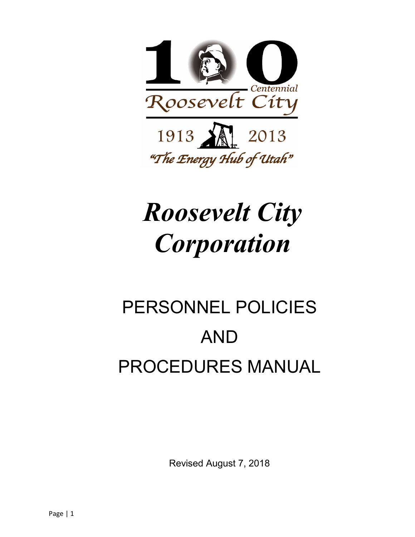

# *Roosevelt City Corporation*

# PERSONNEL POLICIES AND PROCEDURES MANUAL

Revised August 7, 2018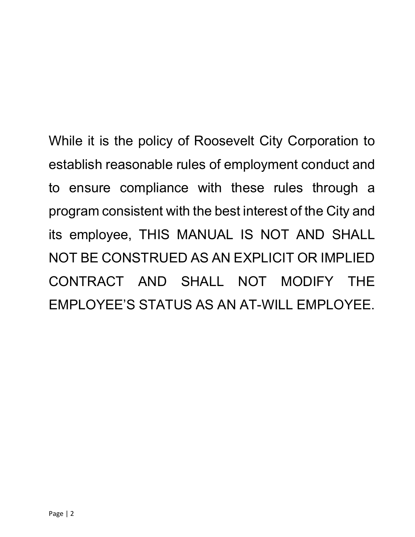While it is the policy of Roosevelt City Corporation to establish reasonable rules of employment conduct and to ensure compliance with these rules through a program consistent with the best interest of the City and its employee, THIS MANUAL IS NOT AND SHALL NOT BE CONSTRUED AS AN EXPLICIT OR IMPLIED CONTRACT AND SHALL NOT MODIFY THE EMPLOYEE'S STATUS AS AN AT-WILL EMPLOYEE.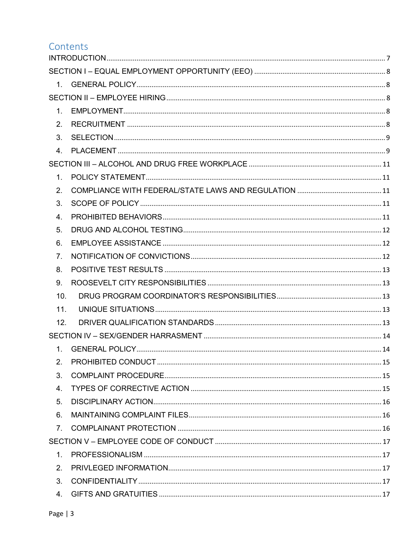# Contents

| $1_{-}$          |  |
|------------------|--|
| 2.               |  |
| 3 <sub>1</sub>   |  |
| $\overline{4}$ . |  |
|                  |  |
| $\mathbf{1}$ .   |  |
| 2.               |  |
| 3.               |  |
| 4.               |  |
| 5.               |  |
| 6.               |  |
| 7 <sub>1</sub>   |  |
| 8.               |  |
| 9.               |  |
| 10.              |  |
| 11.              |  |
| 12.              |  |
|                  |  |
| 1 <sub>1</sub>   |  |
| 2.               |  |
| 3.               |  |
| 4.               |  |
| 5.               |  |
| 6.               |  |
| 7 <sub>1</sub>   |  |
|                  |  |
| 1 <sub>1</sub>   |  |
| 2.               |  |
| 3.               |  |
| 4.               |  |
|                  |  |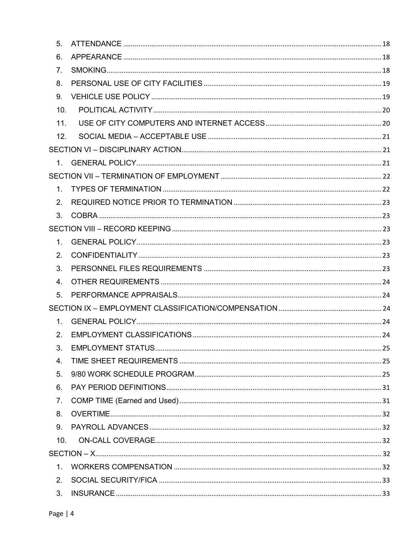| 5.             |  |
|----------------|--|
| 6.             |  |
| 7 <sub>1</sub> |  |
| 8.             |  |
| 9 <sub>1</sub> |  |
| 10.            |  |
| 11.            |  |
| 12.            |  |
|                |  |
|                |  |
|                |  |
| 1 <sup>1</sup> |  |
| 2.             |  |
| 3 <sub>1</sub> |  |
|                |  |
| $1_{\cdot}$    |  |
| 2.             |  |
| 3.             |  |
| 4.             |  |
| 5.             |  |
|                |  |
| $1_{-}$        |  |
| 2.             |  |
| 3.             |  |
| 4.             |  |
| 5.             |  |
| 6.             |  |
| 7 <sub>1</sub> |  |
| 8.             |  |
| 9.             |  |
| 10.            |  |
|                |  |
| 1.             |  |
| 2.             |  |
| 3.             |  |
|                |  |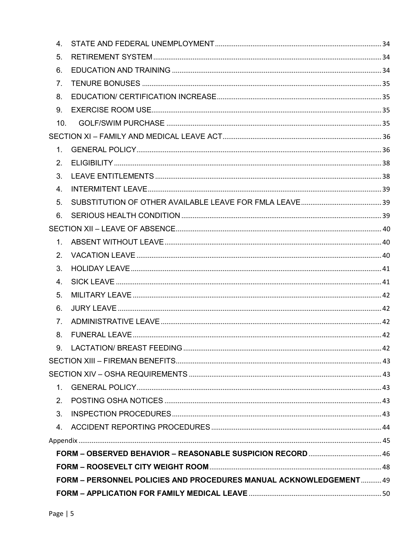| 4.             |                                                                    |  |  |  |  |
|----------------|--------------------------------------------------------------------|--|--|--|--|
| 5.             |                                                                    |  |  |  |  |
| 6.             |                                                                    |  |  |  |  |
| 7.             |                                                                    |  |  |  |  |
| 8.             |                                                                    |  |  |  |  |
| 9.             |                                                                    |  |  |  |  |
| 10.            |                                                                    |  |  |  |  |
|                |                                                                    |  |  |  |  |
| $\mathbf{1}$ . |                                                                    |  |  |  |  |
| 2.             |                                                                    |  |  |  |  |
| 3.             |                                                                    |  |  |  |  |
| 4.             |                                                                    |  |  |  |  |
| 5.             |                                                                    |  |  |  |  |
| 6.             |                                                                    |  |  |  |  |
|                |                                                                    |  |  |  |  |
| 1 <sub>1</sub> |                                                                    |  |  |  |  |
| 2.             |                                                                    |  |  |  |  |
| 3.             |                                                                    |  |  |  |  |
| 4.             |                                                                    |  |  |  |  |
| 5.             |                                                                    |  |  |  |  |
| 6.             |                                                                    |  |  |  |  |
| 7 <sub>1</sub> |                                                                    |  |  |  |  |
| 8.             |                                                                    |  |  |  |  |
| 9 <sub>1</sub> |                                                                    |  |  |  |  |
|                |                                                                    |  |  |  |  |
|                |                                                                    |  |  |  |  |
| $1_{-}$        |                                                                    |  |  |  |  |
| 2 <sub>1</sub> |                                                                    |  |  |  |  |
| 3.             |                                                                    |  |  |  |  |
| 4.             |                                                                    |  |  |  |  |
|                |                                                                    |  |  |  |  |
|                |                                                                    |  |  |  |  |
|                |                                                                    |  |  |  |  |
|                | FORM - PERSONNEL POLICIES AND PROCEDURES MANUAL ACKNOWLEDGEMENT 49 |  |  |  |  |
|                |                                                                    |  |  |  |  |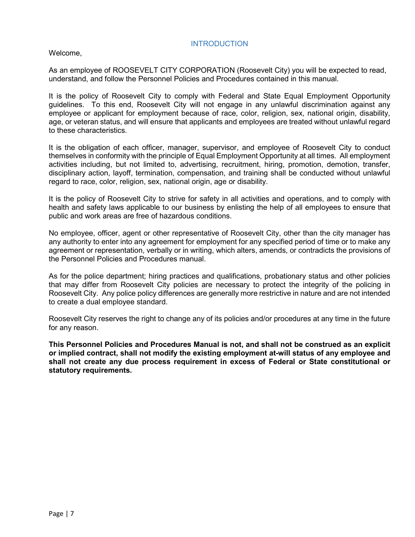#### **INTRODUCTION**

<span id="page-6-0"></span>Welcome,

As an employee of ROOSEVELT CITY CORPORATION (Roosevelt City) you will be expected to read, understand, and follow the Personnel Policies and Procedures contained in this manual.

It is the policy of Roosevelt City to comply with Federal and State Equal Employment Opportunity guidelines. To this end, Roosevelt City will not engage in any unlawful discrimination against any employee or applicant for employment because of race, color, religion, sex, national origin, disability, age, or veteran status, and will ensure that applicants and employees are treated without unlawful regard to these characteristics.

It is the obligation of each officer, manager, supervisor, and employee of Roosevelt City to conduct themselves in conformity with the principle of Equal Employment Opportunity at all times. All employment activities including, but not limited to, advertising, recruitment, hiring, promotion, demotion, transfer, disciplinary action, layoff, termination, compensation, and training shall be conducted without unlawful regard to race, color, religion, sex, national origin, age or disability.

It is the policy of Roosevelt City to strive for safety in all activities and operations, and to comply with health and safety laws applicable to our business by enlisting the help of all employees to ensure that public and work areas are free of hazardous conditions.

No employee, officer, agent or other representative of Roosevelt City, other than the city manager has any authority to enter into any agreement for employment for any specified period of time or to make any agreement or representation, verbally or in writing, which alters, amends, or contradicts the provisions of the Personnel Policies and Procedures manual.

As for the police department; hiring practices and qualifications, probationary status and other policies that may differ from Roosevelt City policies are necessary to protect the integrity of the policing in Roosevelt City. Any police policy differences are generally more restrictive in nature and are not intended to create a dual employee standard.

Roosevelt City reserves the right to change any of its policies and/or procedures at any time in the future for any reason.

**This Personnel Policies and Procedures Manual is not, and shall not be construed as an explicit or implied contract, shall not modify the existing employment at-will status of any employee and shall not create any due process requirement in excess of Federal or State constitutional or statutory requirements.**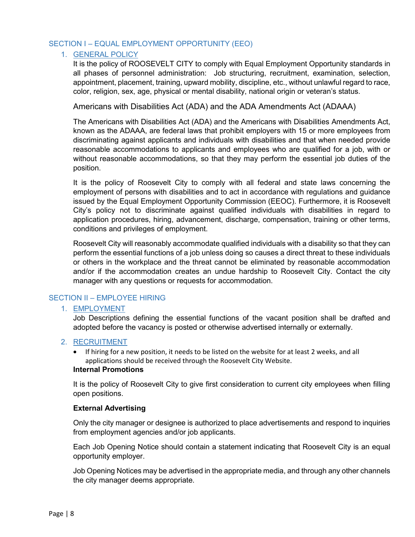#### <span id="page-7-1"></span><span id="page-7-0"></span>SECTION I – EQUAL EMPLOYMENT OPPORTUNITY (EEO)

#### 1. GENERAL POLICY

It is the policy of ROOSEVELT CITY to comply with Equal Employment Opportunity standards in all phases of personnel administration: Job structuring, recruitment, examination, selection, appointment, placement, training, upward mobility, discipline, etc., without unlawful regard to race, color, religion, sex, age, physical or mental disability, national origin or veteran's status.

Americans with Disabilities Act (ADA) and the ADA Amendments Act (ADAAA)

The Americans with Disabilities Act (ADA) and the Americans with Disabilities Amendments Act, known as the ADAAA, are federal laws that prohibit employers with 15 or more employees from discriminating against applicants and individuals with disabilities and that when needed provide reasonable accommodations to applicants and employees who are qualified for a job, with or without reasonable accommodations, so that they may perform the essential job duties of the position.

It is the policy of Roosevelt City to comply with all federal and state laws concerning the employment of persons with disabilities and to act in accordance with regulations and guidance issued by the Equal Employment Opportunity Commission (EEOC). Furthermore, it is Roosevelt City's policy not to discriminate against qualified individuals with disabilities in regard to application procedures, hiring, advancement, discharge, compensation, training or other terms, conditions and privileges of employment.

Roosevelt City will reasonably accommodate qualified individuals with a disability so that they can perform the essential functions of a job unless doing so causes a direct threat to these individuals or others in the workplace and the threat cannot be eliminated by reasonable accommodation and/or if the accommodation creates an undue hardship to Roosevelt City. Contact the city manager with any questions or requests for accommodation.

#### <span id="page-7-3"></span><span id="page-7-2"></span>SECTION II – EMPLOYEE HIRING

#### 1. EMPLOYMENT

Job Descriptions defining the essential functions of the vacant position shall be drafted and adopted before the vacancy is posted or otherwise advertised internally or externally.

#### <span id="page-7-4"></span>2. RECRUITMENT

• If hiring for a new position, it needs to be listed on the website for at least 2 weeks, and all applications should be received through the Roosevelt City Website.

#### **Internal Promotions**

It is the policy of Roosevelt City to give first consideration to current city employees when filling open positions.

#### **External Advertising**

Only the city manager or designee is authorized to place advertisements and respond to inquiries from employment agencies and/or job applicants.

Each Job Opening Notice should contain a statement indicating that Roosevelt City is an equal opportunity employer.

Job Opening Notices may be advertised in the appropriate media, and through any other channels the city manager deems appropriate.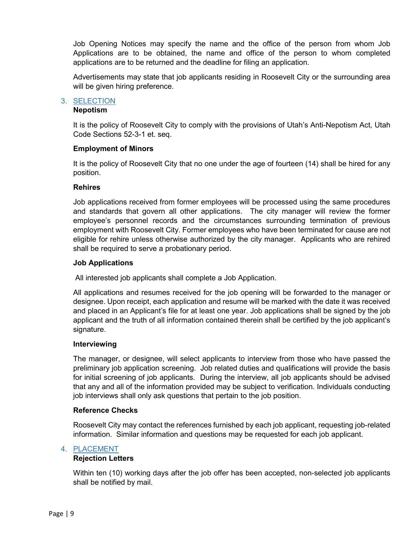Job Opening Notices may specify the name and the office of the person from whom Job Applications are to be obtained, the name and office of the person to whom completed applications are to be returned and the deadline for filing an application.

Advertisements may state that job applicants residing in Roosevelt City or the surrounding area will be given hiring preference.

#### <span id="page-8-0"></span>3. SELECTION

#### **Nepotism**

It is the policy of Roosevelt City to comply with the provisions of Utah's Anti-Nepotism Act, Utah Code Sections 52-3-1 et. seq.

#### **Employment of Minors**

It is the policy of Roosevelt City that no one under the age of fourteen (14) shall be hired for any position.

#### **Rehires**

Job applications received from former employees will be processed using the same procedures and standards that govern all other applications. The city manager will review the former employee's personnel records and the circumstances surrounding termination of previous employment with Roosevelt City. Former employees who have been terminated for cause are not eligible for rehire unless otherwise authorized by the city manager. Applicants who are rehired shall be required to serve a probationary period.

#### **Job Applications**

All interested job applicants shall complete a Job Application.

All applications and resumes received for the job opening will be forwarded to the manager or designee. Upon receipt, each application and resume will be marked with the date it was received and placed in an Applicant's file for at least one year. Job applications shall be signed by the job applicant and the truth of all information contained therein shall be certified by the job applicant's signature.

#### **Interviewing**

The manager, or designee, will select applicants to interview from those who have passed the preliminary job application screening. Job related duties and qualifications will provide the basis for initial screening of job applicants. During the interview, all job applicants should be advised that any and all of the information provided may be subject to verification. Individuals conducting job interviews shall only ask questions that pertain to the job position.

#### **Reference Checks**

Roosevelt City may contact the references furnished by each job applicant, requesting job-related information. Similar information and questions may be requested for each job applicant.

#### <span id="page-8-1"></span>4. PLACEMENT

#### **Rejection Letters**

Within ten (10) working days after the job offer has been accepted, non-selected job applicants shall be notified by mail.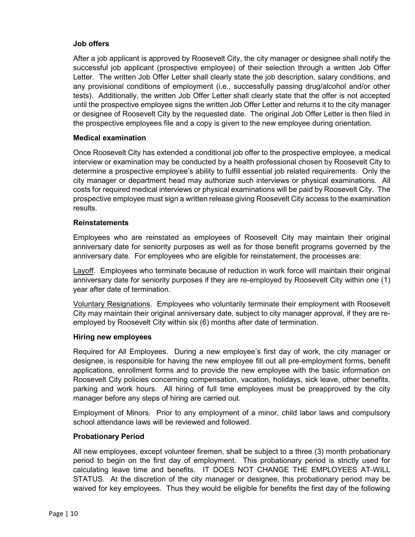#### **Job offers**

After a job applicant is approved by Roosevelt City, the city manager or designee shall notify the successful job applicant (prospective employee) of their selection through a written Job Offer Letter. The written Job Offer Letter shall clearly state the job description, salary conditions, and any provisional conditions of employment (i.e., successfully passing drug/alcohol and/or other tests). Additionally, the written Job Offer Letter shall clearly state that the offer is not accepted until the prospective employee signs the written Job Offer Letter and returns it to the city manager or designee of Roosevelt City by the requested date. The original Job Offer Letter is then filed in the prospective employees file and a copy is given to the new employee during orientation.

#### **Medical examination**

Once Roosevelt City has extended a conditional job offer to the prospective employee, a medical interview or examination may be conducted by a health professional chosen by Roosevelt City to determine a prospective employee's ability to fulfill essential job related requirements. Only the city manager or department head may authorize such interviews or physical examinations. All costs for required medical interviews or physical examinations will be paid by Roosevelt City. The prospective employee must sign a written release giving Roosevelt City access to the examination results.

#### **Reinstatements**

Employees who are reinstated as employees of Roosevelt City may maintain their original anniversary date for seniority purposes as well as for those benefit programs governed by the anniversary date. For employees who are eligible for reinstatement, the processes are:

Layoff. Employees who terminate because of reduction in work force will maintain their original anniversary date for seniority purposes if they are re-employed by Roosevelt City within one (1) year after date of termination.

Voluntary Resignations. Employees who voluntarily terminate their employment with Roosevelt City may maintain their original anniversary date, subject to city manager approval, if they are reemployed by Roosevelt City within six (6) months after date of termination.

#### **Hiring new employees**

Required for All Employees. During a new employee's first day of work, the city manager or designee, is responsible for having the new employee fill out all pre-employment forms, benefit applications, enrollment forms and to provide the new employee with the basic information on Roosevelt City policies concerning compensation, vacation, holidays, sick leave, other benefits, parking and work hours. All hiring of full time employees must be preapproved by the city manager before any steps of hiring are carried out.

Employment of Minors. Prior to any employment of a minor, child labor laws and compulsory school attendance laws will be reviewed and followed.

#### **Probationary Period**

All new employees, except volunteer firemen, shall be subject to a three (3) month probationary period to begin on the first day of employment. This probationary period is strictly used for calculating leave time and benefits. IT DOES NOT CHANGE THE EMPLOYEES AT-WILL STATUS. At the discretion of the city manager or designee, this probationary period may be waived for key employees. Thus they would be eligible for benefits the first day of the following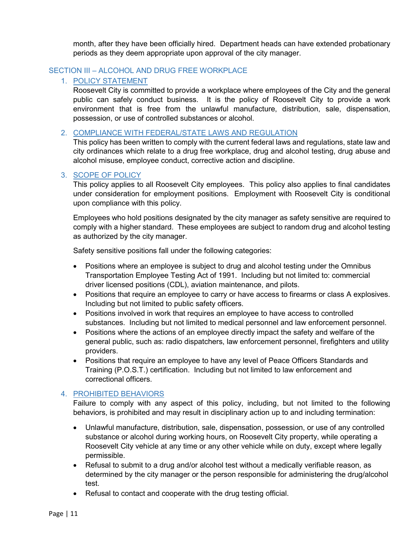month, after they have been officially hired. Department heads can have extended probationary periods as they deem appropriate upon approval of the city manager.

# <span id="page-10-1"></span><span id="page-10-0"></span>SECTION III – ALCOHOL AND DRUG FREE WORKPLACE

# 1. POLICY STATEMENT

Roosevelt City is committed to provide a workplace where employees of the City and the general public can safely conduct business. It is the policy of Roosevelt City to provide a work environment that is free from the unlawful manufacture, distribution, sale, dispensation, possession, or use of controlled substances or alcohol.

# <span id="page-10-2"></span>2. COMPLIANCE WITH FEDERAL/STATE LAWS AND REGULATION

This policy has been written to comply with the current federal laws and regulations, state law and city ordinances which relate to a drug free workplace, drug and alcohol testing, drug abuse and alcohol misuse, employee conduct, corrective action and discipline.

#### <span id="page-10-3"></span>3. SCOPE OF POLICY

This policy applies to all Roosevelt City employees. This policy also applies to final candidates under consideration for employment positions. Employment with Roosevelt City is conditional upon compliance with this policy.

Employees who hold positions designated by the city manager as safety sensitive are required to comply with a higher standard. These employees are subject to random drug and alcohol testing as authorized by the city manager.

Safety sensitive positions fall under the following categories:

- Positions where an employee is subject to drug and alcohol testing under the Omnibus Transportation Employee Testing Act of 1991. Including but not limited to: commercial driver licensed positions (CDL), aviation maintenance, and pilots.
- Positions that require an employee to carry or have access to firearms or class A explosives. Including but not limited to public safety officers.
- Positions involved in work that requires an employee to have access to controlled substances. Including but not limited to medical personnel and law enforcement personnel.
- Positions where the actions of an employee directly impact the safety and welfare of the general public, such as: radio dispatchers, law enforcement personnel, firefighters and utility providers.
- Positions that require an employee to have any level of Peace Officers Standards and Training (P.O.S.T.) certification. Including but not limited to law enforcement and correctional officers.

# <span id="page-10-4"></span>4. PROHIBITED BEHAVIORS

Failure to comply with any aspect of this policy, including, but not limited to the following behaviors, is prohibited and may result in disciplinary action up to and including termination:

- Unlawful manufacture, distribution, sale, dispensation, possession, or use of any controlled substance or alcohol during working hours, on Roosevelt City property, while operating a Roosevelt City vehicle at any time or any other vehicle while on duty, except where legally permissible.
- Refusal to submit to a drug and/or alcohol test without a medically verifiable reason, as determined by the city manager or the person responsible for administering the drug/alcohol test.
- Refusal to contact and cooperate with the drug testing official.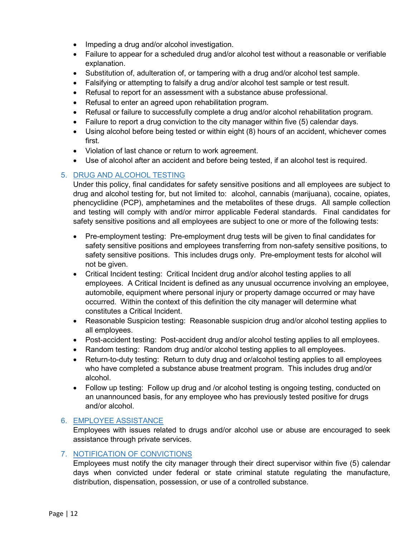- Impeding a drug and/or alcohol investigation.
- Failure to appear for a scheduled drug and/or alcohol test without a reasonable or verifiable explanation.
- Substitution of, adulteration of, or tampering with a drug and/or alcohol test sample.
- Falsifying or attempting to falsify a drug and/or alcohol test sample or test result.
- Refusal to report for an assessment with a substance abuse professional.
- Refusal to enter an agreed upon rehabilitation program.
- Refusal or failure to successfully complete a drug and/or alcohol rehabilitation program.
- Failure to report a drug conviction to the city manager within five (5) calendar days.
- Using alcohol before being tested or within eight (8) hours of an accident, whichever comes first.
- Violation of last chance or return to work agreement.
- Use of alcohol after an accident and before being tested, if an alcohol test is required.

#### <span id="page-11-0"></span>5. DRUG AND ALCOHOL TESTING

Under this policy, final candidates for safety sensitive positions and all employees are subject to drug and alcohol testing for, but not limited to: alcohol, cannabis (marijuana), cocaine, opiates, phencyclidine (PCP), amphetamines and the metabolites of these drugs. All sample collection and testing will comply with and/or mirror applicable Federal standards. Final candidates for safety sensitive positions and all employees are subject to one or more of the following tests:

- Pre-employment testing: Pre-employment drug tests will be given to final candidates for safety sensitive positions and employees transferring from non-safety sensitive positions, to safety sensitive positions. This includes drugs only. Pre-employment tests for alcohol will not be given.
- Critical Incident testing: Critical Incident drug and/or alcohol testing applies to all employees. A Critical Incident is defined as any unusual occurrence involving an employee, automobile, equipment where personal injury or property damage occurred or may have occurred. Within the context of this definition the city manager will determine what constitutes a Critical Incident.
- Reasonable Suspicion testing: Reasonable suspicion drug and/or alcohol testing applies to all employees.
- Post-accident testing: Post-accident drug and/or alcohol testing applies to all employees.
- Random testing: Random drug and/or alcohol testing applies to all employees.
- Return-to-duty testing: Return to duty drug and or/alcohol testing applies to all employees who have completed a substance abuse treatment program. This includes drug and/or alcohol.
- Follow up testing: Follow up drug and /or alcohol testing is ongoing testing, conducted on an unannounced basis, for any employee who has previously tested positive for drugs and/or alcohol.

#### <span id="page-11-1"></span>6. EMPLOYEE ASSISTANCE

Employees with issues related to drugs and/or alcohol use or abuse are encouraged to seek assistance through private services.

#### <span id="page-11-2"></span>7. NOTIFICATION OF CONVICTIONS

Employees must notify the city manager through their direct supervisor within five (5) calendar days when convicted under federal or state criminal statute regulating the manufacture, distribution, dispensation, possession, or use of a controlled substance.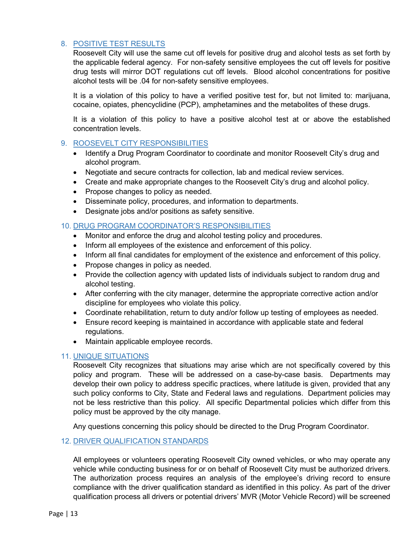# <span id="page-12-0"></span>8. POSITIVE TEST RESULTS

Roosevelt City will use the same cut off levels for positive drug and alcohol tests as set forth by the applicable federal agency. For non-safety sensitive employees the cut off levels for positive drug tests will mirror DOT regulations cut off levels. Blood alcohol concentrations for positive alcohol tests will be .04 for non-safety sensitive employees.

It is a violation of this policy to have a verified positive test for, but not limited to: marijuana, cocaine, opiates, phencyclidine (PCP), amphetamines and the metabolites of these drugs.

It is a violation of this policy to have a positive alcohol test at or above the established concentration levels.

#### <span id="page-12-1"></span>9. ROOSEVELT CITY RESPONSIBILITIES

- Identify a Drug Program Coordinator to coordinate and monitor Roosevelt City's drug and alcohol program.
- Negotiate and secure contracts for collection, lab and medical review services.
- Create and make appropriate changes to the Roosevelt City's drug and alcohol policy.
- Propose changes to policy as needed.
- Disseminate policy, procedures, and information to departments.
- Designate jobs and/or positions as safety sensitive.

#### <span id="page-12-2"></span>10. DRUG PROGRAM COORDINATOR'S RESPONSIBILITIES

- Monitor and enforce the drug and alcohol testing policy and procedures.
- Inform all employees of the existence and enforcement of this policy.
- Inform all final candidates for employment of the existence and enforcement of this policy.
- Propose changes in policy as needed.
- Provide the collection agency with updated lists of individuals subject to random drug and alcohol testing.
- After conferring with the city manager, determine the appropriate corrective action and/or discipline for employees who violate this policy.
- Coordinate rehabilitation, return to duty and/or follow up testing of employees as needed.
- Ensure record keeping is maintained in accordance with applicable state and federal regulations.
- Maintain applicable employee records.

#### <span id="page-12-3"></span>11. UNIQUE SITUATIONS

Roosevelt City recognizes that situations may arise which are not specifically covered by this policy and program. These will be addressed on a case-by-case basis. Departments may develop their own policy to address specific practices, where latitude is given, provided that any such policy conforms to City, State and Federal laws and regulations. Department policies may not be less restrictive than this policy. All specific Departmental policies which differ from this policy must be approved by the city manage.

Any questions concerning this policy should be directed to the Drug Program Coordinator.

#### <span id="page-12-4"></span>12. DRIVER QUALIFICATION STANDARDS

All employees or volunteers operating Roosevelt City owned vehicles, or who may operate any vehicle while conducting business for or on behalf of Roosevelt City must be authorized drivers. The authorization process requires an analysis of the employee's driving record to ensure compliance with the driver qualification standard as identified in this policy. As part of the driver qualification process all drivers or potential drivers' MVR (Motor Vehicle Record) will be screened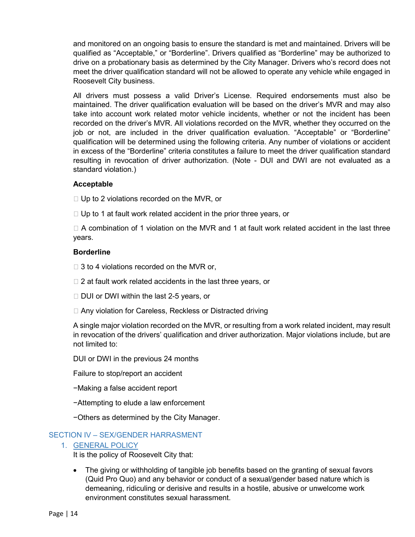and monitored on an ongoing basis to ensure the standard is met and maintained. Drivers will be qualified as "Acceptable," or "Borderline". Drivers qualified as "Borderline" may be authorized to drive on a probationary basis as determined by the City Manager. Drivers who's record does not meet the driver qualification standard will not be allowed to operate any vehicle while engaged in Roosevelt City business.

All drivers must possess a valid Driver's License. Required endorsements must also be maintained. The driver qualification evaluation will be based on the driver's MVR and may also take into account work related motor vehicle incidents, whether or not the incident has been recorded on the driver's MVR. All violations recorded on the MVR, whether they occurred on the job or not, are included in the driver qualification evaluation. "Acceptable" or "Borderline" qualification will be determined using the following criteria. Any number of violations or accident in excess of the "Borderline" criteria constitutes a failure to meet the driver qualification standard resulting in revocation of driver authorization. (Note - DUI and DWI are not evaluated as a standard violation.)

#### **Acceptable**

 $\Box$  Up to 2 violations recorded on the MVR, or

 $\Box$  Up to 1 at fault work related accident in the prior three years, or

 $\Box$  A combination of 1 violation on the MVR and 1 at fault work related accident in the last three years.

#### **Borderline**

 $\Box$  3 to 4 violations recorded on the MVR or,

- $\Box$  2 at fault work related accidents in the last three years, or
- □ DUI or DWI within the last 2-5 years, or
- □ Any violation for Careless, Reckless or Distracted driving

A single major violation recorded on the MVR, or resulting from a work related incident, may result in revocation of the drivers' qualification and driver authorization. Major violations include, but are not limited to:

DUI or DWI in the previous 24 months

Failure to stop/report an accident

−Making a false accident report

−Attempting to elude a law enforcement

−Others as determined by the City Manager.

#### <span id="page-13-1"></span><span id="page-13-0"></span>SECTION IV – SEX/GENDER HARRASMENT

#### 1. GENERAL POLICY

It is the policy of Roosevelt City that:

• The giving or withholding of tangible job benefits based on the granting of sexual favors (Quid Pro Quo) and any behavior or conduct of a sexual/gender based nature which is demeaning, ridiculing or derisive and results in a hostile, abusive or unwelcome work environment constitutes sexual harassment.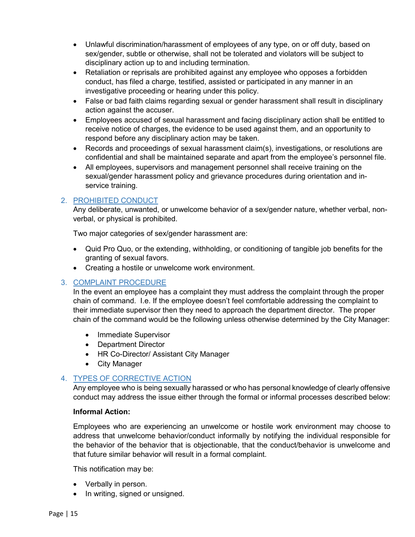- Unlawful discrimination/harassment of employees of any type, on or off duty, based on sex/gender, subtle or otherwise, shall not be tolerated and violators will be subject to disciplinary action up to and including termination.
- Retaliation or reprisals are prohibited against any employee who opposes a forbidden conduct, has filed a charge, testified, assisted or participated in any manner in an investigative proceeding or hearing under this policy.
- False or bad faith claims regarding sexual or gender harassment shall result in disciplinary action against the accuser.
- Employees accused of sexual harassment and facing disciplinary action shall be entitled to receive notice of charges, the evidence to be used against them, and an opportunity to respond before any disciplinary action may be taken.
- Records and proceedings of sexual harassment claim(s), investigations, or resolutions are confidential and shall be maintained separate and apart from the employee's personnel file.
- All employees, supervisors and management personnel shall receive training on the sexual/gender harassment policy and grievance procedures during orientation and inservice training.

# <span id="page-14-0"></span>2. PROHIBITED CONDUCT

Any deliberate, unwanted, or unwelcome behavior of a sex/gender nature, whether verbal, nonverbal, or physical is prohibited.

Two major categories of sex/gender harassment are:

- Quid Pro Quo, or the extending, withholding, or conditioning of tangible job benefits for the granting of sexual favors.
- Creating a hostile or unwelcome work environment.

# <span id="page-14-1"></span>3. COMPLAINT PROCEDURE

In the event an employee has a complaint they must address the complaint through the proper chain of command. I.e. If the employee doesn't feel comfortable addressing the complaint to their immediate supervisor then they need to approach the department director. The proper chain of the command would be the following unless otherwise determined by the City Manager:

- Immediate Supervisor
- Department Director
- HR Co-Director/ Assistant City Manager
- City Manager

# <span id="page-14-2"></span>4. TYPES OF CORRECTIVE ACTION

Any employee who is being sexually harassed or who has personal knowledge of clearly offensive conduct may address the issue either through the formal or informal processes described below:

#### **Informal Action:**

Employees who are experiencing an unwelcome or hostile work environment may choose to address that unwelcome behavior/conduct informally by notifying the individual responsible for the behavior of the behavior that is objectionable, that the conduct/behavior is unwelcome and that future similar behavior will result in a formal complaint.

This notification may be:

- Verbally in person.
- In writing, signed or unsigned.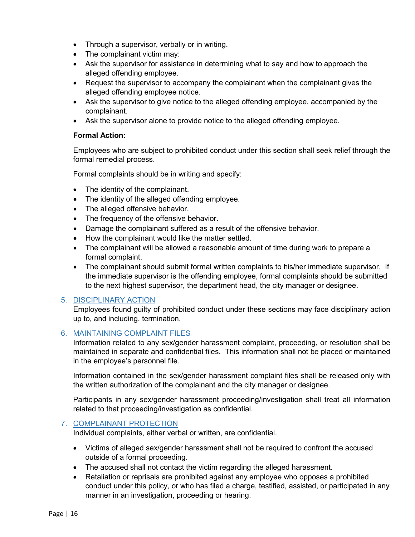- Through a supervisor, verbally or in writing.
- The complainant victim may:
- Ask the supervisor for assistance in determining what to say and how to approach the alleged offending employee.
- Request the supervisor to accompany the complainant when the complainant gives the alleged offending employee notice.
- Ask the supervisor to give notice to the alleged offending employee, accompanied by the complainant.
- Ask the supervisor alone to provide notice to the alleged offending employee.

#### **Formal Action:**

Employees who are subject to prohibited conduct under this section shall seek relief through the formal remedial process.

Formal complaints should be in writing and specify:

- The identity of the complainant.
- The identity of the alleged offending employee.
- The alleged offensive behavior.
- The frequency of the offensive behavior.
- Damage the complainant suffered as a result of the offensive behavior.
- How the complainant would like the matter settled.
- The complainant will be allowed a reasonable amount of time during work to prepare a formal complaint.
- The complainant should submit formal written complaints to his/her immediate supervisor. If the immediate supervisor is the offending employee, formal complaints should be submitted to the next highest supervisor, the department head, the city manager or designee.

# <span id="page-15-0"></span>5. DISCIPLINARY ACTION

Employees found guilty of prohibited conduct under these sections may face disciplinary action up to, and including, termination.

#### <span id="page-15-1"></span>6. MAINTAINING COMPLAINT FILES

Information related to any sex/gender harassment complaint, proceeding, or resolution shall be maintained in separate and confidential files. This information shall not be placed or maintained in the employee's personnel file.

Information contained in the sex/gender harassment complaint files shall be released only with the written authorization of the complainant and the city manager or designee.

Participants in any sex/gender harassment proceeding/investigation shall treat all information related to that proceeding/investigation as confidential.

# <span id="page-15-2"></span>7. COMPLAINANT PROTECTION

Individual complaints, either verbal or written, are confidential.

- Victims of alleged sex/gender harassment shall not be required to confront the accused outside of a formal proceeding.
- The accused shall not contact the victim regarding the alleged harassment.
- Retaliation or reprisals are prohibited against any employee who opposes a prohibited conduct under this policy, or who has filed a charge, testified, assisted, or participated in any manner in an investigation, proceeding or hearing.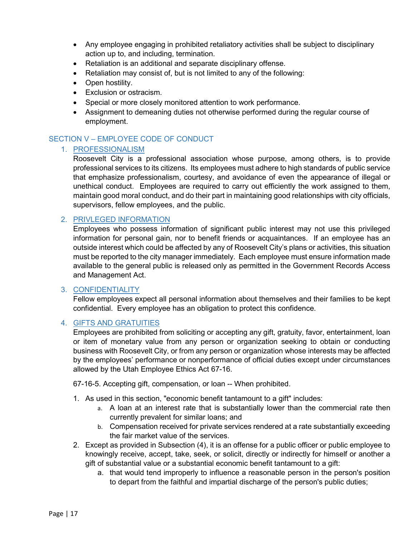- Any employee engaging in prohibited retaliatory activities shall be subject to disciplinary action up to, and including, termination.
- Retaliation is an additional and separate disciplinary offense.
- Retaliation may consist of, but is not limited to any of the following:
- Open hostility.
- Exclusion or ostracism.
- Special or more closely monitored attention to work performance.
- Assignment to demeaning duties not otherwise performed during the regular course of employment.

# <span id="page-16-1"></span><span id="page-16-0"></span>SECTION V – EMPLOYEE CODE OF CONDUCT

#### 1. PROFESSIONALISM

Roosevelt City is a professional association whose purpose, among others, is to provide professional services to its citizens. Its employees must adhere to high standards of public service that emphasize professionalism, courtesy, and avoidance of even the appearance of illegal or unethical conduct. Employees are required to carry out efficiently the work assigned to them, maintain good moral conduct, and do their part in maintaining good relationships with city officials, supervisors, fellow employees, and the public.

#### <span id="page-16-2"></span>2. PRIVLEGED INFORMATION

Employees who possess information of significant public interest may not use this privileged information for personal gain, nor to benefit friends or acquaintances. If an employee has an outside interest which could be affected by any of Roosevelt City's plans or activities, this situation must be reported to the city manager immediately. Each employee must ensure information made available to the general public is released only as permitted in the Government Records Access and Management Act.

#### <span id="page-16-3"></span>3. CONFIDENTIALITY

Fellow employees expect all personal information about themselves and their families to be kept confidential. Every employee has an obligation to protect this confidence.

#### <span id="page-16-4"></span>4. GIFTS AND GRATUITIES

Employees are prohibited from soliciting or accepting any gift, gratuity, favor, entertainment, loan or item of monetary value from any person or organization seeking to obtain or conducting business with Roosevelt City, or from any person or organization whose interests may be affected by the employees' performance or nonperformance of official duties except under circumstances allowed by the Utah Employee Ethics Act 67-16.

67-16-5. Accepting gift, compensation, or loan -- When prohibited.

- 1. As used in this section, "economic benefit tantamount to a gift" includes:
	- a. A loan at an interest rate that is substantially lower than the commercial rate then currently prevalent for similar loans; and
	- b. Compensation received for private services rendered at a rate substantially exceeding the fair market value of the services.
- 2. Except as provided in Subsection [\(4\),](http://le.utah.gov/xcode/Title67/Chapter16/67-16-S5.html?v=C67-16-S5_2014040320140329#67-16-5(4)) it is an offense for a public officer or public employee to knowingly receive, accept, take, seek, or solicit, directly or indirectly for himself or another a gift of substantial value or a substantial economic benefit tantamount to a gift:
	- a. that would tend improperly to influence a reasonable person in the person's position to depart from the faithful and impartial discharge of the person's public duties;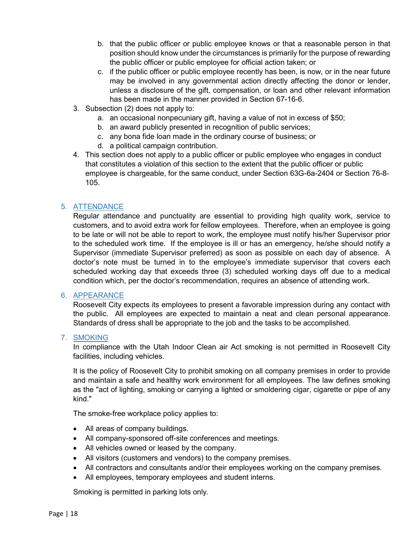- b. that the public officer or public employee knows or that a reasonable person in that position should know under the circumstances is primarily for the purpose of rewarding the public officer or public employee for official action taken; or
- c. if the public officer or public employee recently has been, is now, or in the near future may be involved in any governmental action directly affecting the donor or lender, unless a disclosure of the gift, compensation, or loan and other relevant information has been made in the manner provided in Section [67-16-6.](http://le.utah.gov/xcode/Title67/Chapter16/67-16-S6.html?v=C67-16-S6_2014040320140329)
- 3. Subsection [\(2\)](http://le.utah.gov/xcode/Title67/Chapter16/67-16-S5.html?v=C67-16-S5_2014040320140329#67-16-5(2)) does not apply to:
	- a. an occasional nonpecuniary gift, having a value of not in excess of \$50;
	- b. an award publicly presented in recognition of public services;
	- c. any bona fide loan made in the ordinary course of business; or
	- d. a political campaign contribution.
- 4. This section does not apply to a public officer or public employee who engages in conduct that constitutes a violation of this section to the extent that the public officer or public employee is chargeable, for the same conduct, under Section [63G-6a-2404](http://le.utah.gov/xcode/Title63G/Chapter6A/63G-6a-S2404.html?v=C63G-6a-S2404_2014040320140329) or Section [76-8-](http://le.utah.gov/xcode/Title76/Chapter8/76-8-S105.html?v=C76-8-S105_1800010118000101) [105.](http://le.utah.gov/xcode/Title76/Chapter8/76-8-S105.html?v=C76-8-S105_1800010118000101)

#### <span id="page-17-0"></span>5. ATTENDANCE

Regular attendance and punctuality are essential to providing high quality work, service to customers, and to avoid extra work for fellow employees. Therefore, when an employee is going to be late or will not be able to report to work, the employee must notify his/her Supervisor prior to the scheduled work time. If the employee is ill or has an emergency, he/she should notify a Supervisor (immediate Supervisor preferred) as soon as possible on each day of absence. A doctor's note must be turned in to the employee's immediate supervisor that covers each scheduled working day that exceeds three (3) scheduled working days off due to a medical condition which, per the doctor's recommendation, requires an absence of attending work.

#### <span id="page-17-1"></span>6. APPEARANCE

Roosevelt City expects its employees to present a favorable impression during any contact with the public. All employees are expected to maintain a neat and clean personal appearance. Standards of dress shall be appropriate to the job and the tasks to be accomplished.

#### <span id="page-17-2"></span>7. SMOKING

In compliance with the Utah Indoor Clean air Act smoking is not permitted in Roosevelt City facilities, including vehicles.

It is the policy of Roosevelt City to prohibit smoking on all company premises in order to provide and maintain a safe and healthy work environment for all employees. The law defines smoking as the "act of lighting, smoking or carrying a lighted or smoldering cigar, cigarette or pipe of any kind."

The smoke-free workplace policy applies to:

- All areas of company buildings.
- All company-sponsored off-site conferences and meetings.
- All vehicles owned or leased by the company.
- All visitors (customers and vendors) to the company premises.
- All contractors and consultants and/or their employees working on the company premises.
- All employees, temporary employees and student interns.

Smoking is permitted in parking lots only.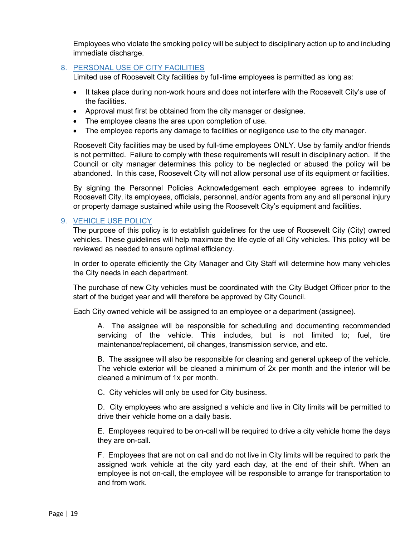Employees who violate the smoking policy will be subject to disciplinary action up to and including immediate discharge.

#### <span id="page-18-0"></span>8. PERSONAL USE OF CITY FACILITIES

Limited use of Roosevelt City facilities by full-time employees is permitted as long as:

- It takes place during non-work hours and does not interfere with the Roosevelt City's use of the facilities.
- Approval must first be obtained from the city manager or designee.
- The employee cleans the area upon completion of use.
- The employee reports any damage to facilities or negligence use to the city manager.

Roosevelt City facilities may be used by full-time employees ONLY. Use by family and/or friends is not permitted. Failure to comply with these requirements will result in disciplinary action. If the Council or city manager determines this policy to be neglected or abused the policy will be abandoned. In this case, Roosevelt City will not allow personal use of its equipment or facilities.

By signing the Personnel Policies Acknowledgement each employee agrees to indemnify Roosevelt City, its employees, officials, personnel, and/or agents from any and all personal injury or property damage sustained while using the Roosevelt City's equipment and facilities.

#### <span id="page-18-1"></span>9. VEHICLE USE POLICY

The purpose of this policy is to establish guidelines for the use of Roosevelt City (City) owned vehicles. These guidelines will help maximize the life cycle of all City vehicles. This policy will be reviewed as needed to ensure optimal efficiency.

In order to operate efficiently the City Manager and City Staff will determine how many vehicles the City needs in each department.

The purchase of new City vehicles must be coordinated with the City Budget Officer prior to the start of the budget year and will therefore be approved by City Council.

Each City owned vehicle will be assigned to an employee or a department (assignee).

A. The assignee will be responsible for scheduling and documenting recommended servicing of the vehicle. This includes, but is not limited to; fuel, tire maintenance/replacement, oil changes, transmission service, and etc.

B. The assignee will also be responsible for cleaning and general upkeep of the vehicle. The vehicle exterior will be cleaned a minimum of 2x per month and the interior will be cleaned a minimum of 1x per month.

C. City vehicles will only be used for City business.

D. City employees who are assigned a vehicle and live in City limits will be permitted to drive their vehicle home on a daily basis.

E. Employees required to be on-call will be required to drive a city vehicle home the days they are on-call.

F. Employees that are not on call and do not live in City limits will be required to park the assigned work vehicle at the city yard each day, at the end of their shift. When an employee is not on-call, the employee will be responsible to arrange for transportation to and from work.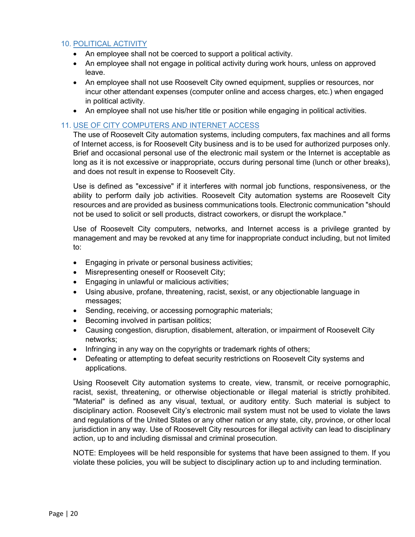#### <span id="page-19-0"></span>10. POLITICAL ACTIVITY

- An employee shall not be coerced to support a political activity.
- An employee shall not engage in political activity during work hours, unless on approved leave.
- An employee shall not use Roosevelt City owned equipment, supplies or resources, nor incur other attendant expenses (computer online and access charges, etc.) when engaged in political activity.
- An employee shall not use his/her title or position while engaging in political activities.

#### <span id="page-19-1"></span>11. USE OF CITY COMPUTERS AND INTERNET ACCESS

The use of Roosevelt City automation systems, including computers, fax machines and all forms of Internet access, is for Roosevelt City business and is to be used for authorized purposes only. Brief and occasional personal use of the electronic mail system or the Internet is acceptable as long as it is not excessive or inappropriate, occurs during personal time (lunch or other breaks), and does not result in expense to Roosevelt City.

Use is defined as "excessive" if it interferes with normal job functions, responsiveness, or the ability to perform daily job activities. Roosevelt City automation systems are Roosevelt City resources and are provided as business communications tools. Electronic communication "should not be used to solicit or sell products, distract coworkers, or disrupt the workplace."

Use of Roosevelt City computers, networks, and Internet access is a privilege granted by management and may be revoked at any time for inappropriate conduct including, but not limited to:

- Engaging in private or personal business activities;
- Misrepresenting oneself or Roosevelt City;
- Engaging in unlawful or malicious activities;
- Using abusive, profane, threatening, racist, sexist, or any objectionable language in messages;
- Sending, receiving, or accessing pornographic materials;
- Becoming involved in partisan politics;
- Causing congestion, disruption, disablement, alteration, or impairment of Roosevelt City networks;
- Infringing in any way on the copyrights or trademark rights of others;
- Defeating or attempting to defeat security restrictions on Roosevelt City systems and applications.

Using Roosevelt City automation systems to create, view, transmit, or receive pornographic, racist, sexist, threatening, or otherwise objectionable or illegal material is strictly prohibited. "Material" is defined as any visual, textual, or auditory entity. Such material is subject to disciplinary action. Roosevelt City's electronic mail system must not be used to violate the laws and regulations of the United States or any other nation or any state, city, province, or other local jurisdiction in any way. Use of Roosevelt City resources for illegal activity can lead to disciplinary action, up to and including dismissal and criminal prosecution.

NOTE: Employees will be held responsible for systems that have been assigned to them. If you violate these policies, you will be subject to disciplinary action up to and including termination.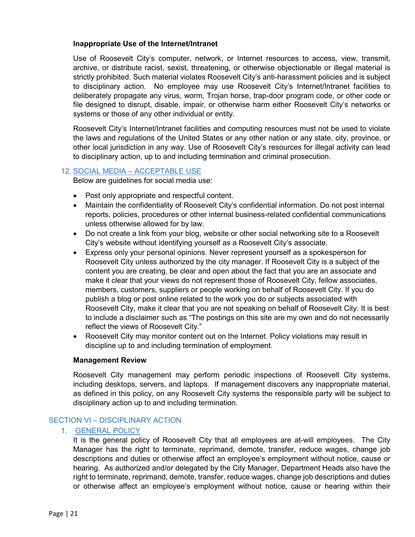#### **Inappropriate Use of the Internet/Intranet**

Use of Roosevelt City's computer, network, or Internet resources to access, view, transmit, archive, or distribute racist, sexist, threatening, or otherwise objectionable or illegal material is strictly prohibited. Such material violates Roosevelt City's anti-harassment policies and is subject to disciplinary action. No employee may use Roosevelt City's Internet/Intranet facilities to deliberately propagate any virus, worm, Trojan horse, trap-door program code, or other code or file designed to disrupt, disable, impair, or otherwise harm either Roosevelt City's networks or systems or those of any other individual or entity.

Roosevelt City's Internet/Intranet facilities and computing resources must not be used to violate the laws and regulations of the United States or any other nation or any state, city, province, or other local jurisdiction in any way. Use of Roosevelt City's resources for illegal activity can lead to disciplinary action, up to and including termination and criminal prosecution.

#### <span id="page-20-0"></span>12. SOCIAL MEDIA – ACCEPTABLE USE

Below are guidelines for social media use:

- Post only appropriate and respectful content.
- Maintain the confidentiality of Roosevelt City's confidential information. Do not post internal reports, policies, procedures or other internal business-related confidential communications unless otherwise allowed for by law.
- Do not create a link from your blog, website or other social networking site to a Roosevelt City's website without identifying yourself as a Roosevelt City's associate.
- Express only your personal opinions. Never represent yourself as a spokesperson for Roosevelt City unless authorized by the city manager. If Roosevelt City is a subject of the content you are creating, be clear and open about the fact that you are an associate and make it clear that your views do not represent those of Roosevelt City, fellow associates, members, customers, suppliers or people working on behalf of Roosevelt City. If you do publish a blog or post online related to the work you do or subjects associated with Roosevelt City, make it clear that you are not speaking on behalf of Roosevelt City. It is best to include a disclaimer such as "The postings on this site are my own and do not necessarily reflect the views of Roosevelt City."
- Roosevelt City may monitor content out on the Internet. Policy violations may result in discipline up to and including termination of employment.

#### **Management Review**

Roosevelt City management may perform periodic inspections of Roosevelt City systems, including desktops, servers, and laptops. If management discovers any inappropriate material, as defined in this policy, on any Roosevelt City systems the responsible party will be subject to disciplinary action up to and including termination.

#### <span id="page-20-1"></span>SECTION VI – DISCIPLINARY ACTION

#### 1. GENERAL POLICY

<span id="page-20-2"></span>It is the general policy of Roosevelt City that all employees are at-will employees. The City Manager has the right to terminate, reprimand, demote, transfer, reduce wages, change job descriptions and duties or otherwise affect an employee's employment without notice, cause or hearing. As authorized and/or delegated by the City Manager, Department Heads also have the right to terminate, reprimand, demote, transfer, reduce wages, change job descriptions and duties or otherwise affect an employee's employment without notice, cause or hearing within their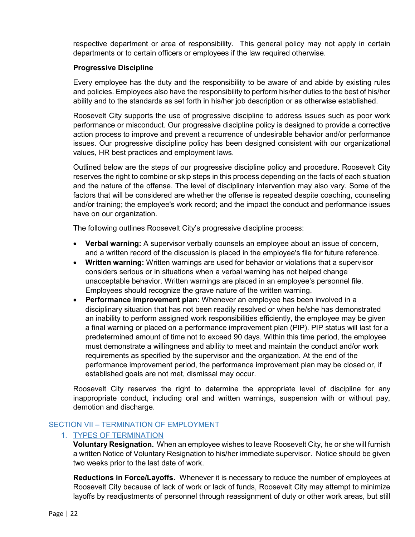respective department or area of responsibility. This general policy may not apply in certain departments or to certain officers or employees if the law required otherwise.

#### **Progressive Discipline**

Every employee has the duty and the responsibility to be aware of and abide by existing rules and policies. Employees also have the responsibility to perform his/her duties to the best of his/her ability and to the standards as set forth in his/her job description or as otherwise established.

Roosevelt City supports the use of progressive discipline to address issues such as poor work performance or misconduct. Our progressive discipline policy is designed to provide a corrective action process to improve and prevent a recurrence of undesirable behavior and/or performance issues. Our progressive discipline policy has been designed consistent with our organizational values, HR best practices and employment laws.

Outlined below are the steps of our progressive discipline policy and procedure. Roosevelt City reserves the right to combine or skip steps in this process depending on the facts of each situation and the nature of the offense. The level of disciplinary intervention may also vary. Some of the factors that will be considered are whether the offense is repeated despite coaching, counseling and/or training; the employee's work record; and the impact the conduct and performance issues have on our organization.

The following outlines Roosevelt City's progressive discipline process:

- **Verbal warning:** A supervisor verbally counsels an employee about an issue of concern, and a written record of the discussion is placed in the employee's file for future reference.
- **Written warning:** Written warnings are used for behavior or violations that a supervisor considers serious or in situations when a verbal warning has not helped change unacceptable behavior. Written warnings are placed in an employee's personnel file. Employees should recognize the grave nature of the written warning.
- **Performance improvement plan:** Whenever an employee has been involved in a disciplinary situation that has not been readily resolved or when he/she has demonstrated an inability to perform assigned work responsibilities efficiently, the employee may be given a final warning or placed on a performance improvement plan (PIP). PIP status will last for a predetermined amount of time not to exceed 90 days. Within this time period, the employee must demonstrate a willingness and ability to meet and maintain the conduct and/or work requirements as specified by the supervisor and the organization. At the end of the performance improvement period, the performance improvement plan may be closed or, if established goals are not met, dismissal may occur.

Roosevelt City reserves the right to determine the appropriate level of discipline for any inappropriate conduct, including oral and written warnings, suspension with or without pay, demotion and discharge.

#### <span id="page-21-1"></span><span id="page-21-0"></span>SECTION VII – TERMINATION OF EMPLOYMENT

#### 1. TYPES OF TERMINATION

**Voluntary Resignation.** When an employee wishes to leave Roosevelt City, he or she will furnish a written Notice of Voluntary Resignation to his/her immediate supervisor. Notice should be given two weeks prior to the last date of work.

**Reductions in Force/Layoffs.** Whenever it is necessary to reduce the number of employees at Roosevelt City because of lack of work or lack of funds, Roosevelt City may attempt to minimize layoffs by readjustments of personnel through reassignment of duty or other work areas, but still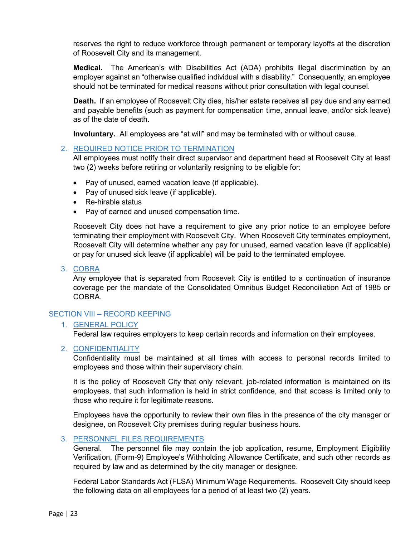reserves the right to reduce workforce through permanent or temporary layoffs at the discretion of Roosevelt City and its management.

**Medical.** The American's with Disabilities Act (ADA) prohibits illegal discrimination by an employer against an "otherwise qualified individual with a disability." Consequently, an employee should not be terminated for medical reasons without prior consultation with legal counsel.

**Death.** If an employee of Roosevelt City dies, his/her estate receives all pay due and any earned and payable benefits (such as payment for compensation time, annual leave, and/or sick leave) as of the date of death.

**Involuntary.** All employees are "at will" and may be terminated with or without cause.

#### <span id="page-22-0"></span>2. REQUIRED NOTICE PRIOR TO TERMINATION

All employees must notify their direct supervisor and department head at Roosevelt City at least two (2) weeks before retiring or voluntarily resigning to be eligible for:

- Pay of unused, earned vacation leave (if applicable).
- Pay of unused sick leave (if applicable).
- Re-hirable status
- Pay of earned and unused compensation time.

Roosevelt City does not have a requirement to give any prior notice to an employee before terminating their employment with Roosevelt City. When Roosevelt City terminates employment, Roosevelt City will determine whether any pay for unused, earned vacation leave (if applicable) or pay for unused sick leave (if applicable) will be paid to the terminated employee.

<span id="page-22-1"></span>3. COBRA

Any employee that is separated from Roosevelt City is entitled to a continuation of insurance coverage per the mandate of the Consolidated Omnibus Budget Reconciliation Act of 1985 or COBRA.

#### <span id="page-22-3"></span><span id="page-22-2"></span>SECTION VIII – RECORD KEEPING

#### 1. GENERAL POLICY

Federal law requires employers to keep certain records and information on their employees.

#### <span id="page-22-4"></span>2. CONFIDENTIALITY

Confidentiality must be maintained at all times with access to personal records limited to employees and those within their supervisory chain.

It is the policy of Roosevelt City that only relevant, job-related information is maintained on its employees, that such information is held in strict confidence, and that access is limited only to those who require it for legitimate reasons.

Employees have the opportunity to review their own files in the presence of the city manager or designee, on Roosevelt City premises during regular business hours.

#### <span id="page-22-5"></span>3. PERSONNEL FILES REQUIREMENTS

General. The personnel file may contain the job application, resume, Employment Eligibility Verification, (Form-9) Employee's Withholding Allowance Certificate, and such other records as required by law and as determined by the city manager or designee.

Federal Labor Standards Act (FLSA) Minimum Wage Requirements. Roosevelt City should keep the following data on all employees for a period of at least two (2) years.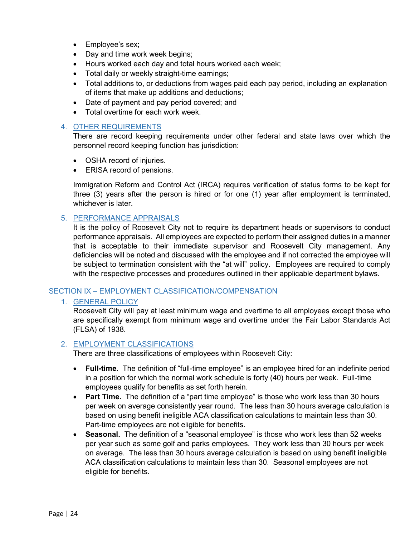- Employee's sex;
- Day and time work week begins;
- Hours worked each day and total hours worked each week;
- Total daily or weekly straight-time earnings;
- Total additions to, or deductions from wages paid each pay period, including an explanation of items that make up additions and deductions;
- Date of payment and pay period covered; and
- Total overtime for each work week.

#### <span id="page-23-0"></span>4. OTHER REQUIREMENTS

There are record keeping requirements under other federal and state laws over which the personnel record keeping function has jurisdiction:

- OSHA record of injuries.
- ERISA record of pensions.

Immigration Reform and Control Act (IRCA) requires verification of status forms to be kept for three (3) years after the person is hired or for one (1) year after employment is terminated, whichever is later.

#### <span id="page-23-1"></span>5. PERFORMANCE APPRAISALS

It is the policy of Roosevelt City not to require its department heads or supervisors to conduct performance appraisals. All employees are expected to perform their assigned duties in a manner that is acceptable to their immediate supervisor and Roosevelt City management. Any deficiencies will be noted and discussed with the employee and if not corrected the employee will be subject to termination consistent with the "at will" policy. Employees are required to comply with the respective processes and procedures outlined in their applicable department bylaws.

#### <span id="page-23-3"></span><span id="page-23-2"></span>SECTION IX – EMPLOYMENT CLASSIFICATION/COMPENSATION

#### 1. GENERAL POLICY

Roosevelt City will pay at least minimum wage and overtime to all employees except those who are specifically exempt from minimum wage and overtime under the Fair Labor Standards Act (FLSA) of 1938.

#### <span id="page-23-4"></span>2. EMPLOYMENT CLASSIFICATIONS

There are three classifications of employees within Roosevelt City:

- **Full-time.** The definition of "full-time employee" is an employee hired for an indefinite period in a position for which the normal work schedule is forty (40) hours per week. Full-time employees qualify for benefits as set forth herein.
- **Part Time.** The definition of a "part time employee" is those who work less than 30 hours per week on average consistently year round. The less than 30 hours average calculation is based on using benefit ineligible ACA classification calculations to maintain less than 30. Part-time employees are not eligible for benefits.
- **Seasonal.** The definition of a "seasonal employee" is those who work less than 52 weeks per year such as some golf and parks employees. They work less than 30 hours per week on average. The less than 30 hours average calculation is based on using benefit ineligible ACA classification calculations to maintain less than 30. Seasonal employees are not eligible for benefits.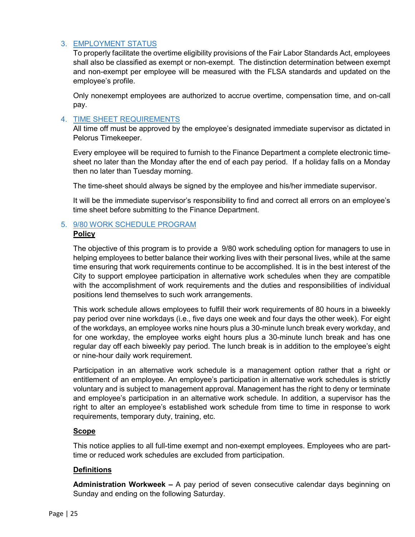#### <span id="page-24-0"></span>3. EMPLOYMENT STATUS

To properly facilitate the overtime eligibility provisions of the Fair Labor Standards Act, employees shall also be classified as exempt or non-exempt. The distinction determination between exempt and non-exempt per employee will be measured with the FLSA standards and updated on the employee's profile.

Only nonexempt employees are authorized to accrue overtime, compensation time, and on-call pay.

#### <span id="page-24-1"></span>4. TIME SHEET REQUIREMENTS

All time off must be approved by the employee's designated immediate supervisor as dictated in Pelorus Timekeeper.

Every employee will be required to furnish to the Finance Department a complete electronic timesheet no later than the Monday after the end of each pay period. If a holiday falls on a Monday then no later than Tuesday morning.

The time-sheet should always be signed by the employee and his/her immediate supervisor.

It will be the immediate supervisor's responsibility to find and correct all errors on an employee's time sheet before submitting to the Finance Department.

# <span id="page-24-2"></span>5. 9/80 WORK SCHEDULE PROGRAM

#### **Policy**

The objective of this program is to provide a 9/80 work scheduling option for managers to use in helping employees to better balance their working lives with their personal lives, while at the same time ensuring that work requirements continue to be accomplished. It is in the best interest of the City to support employee participation in alternative work schedules when they are compatible with the accomplishment of work requirements and the duties and responsibilities of individual positions lend themselves to such work arrangements.

This work schedule allows employees to fulfill their work requirements of 80 hours in a biweekly pay period over nine workdays (i.e., five days one week and four days the other week). For eight of the workdays, an employee works nine hours plus a 30-minute lunch break every workday, and for one workday, the employee works eight hours plus a 30-minute lunch break and has one regular day off each biweekly pay period. The lunch break is in addition to the employee's eight or nine-hour daily work requirement.

Participation in an alternative work schedule is a management option rather that a right or entitlement of an employee. An employee's participation in alternative work schedules is strictly voluntary and is subject to management approval. Management has the right to deny or terminate and employee's participation in an alternative work schedule. In addition, a supervisor has the right to alter an employee's established work schedule from time to time in response to work requirements, temporary duty, training, etc.

# **Scope**

This notice applies to all full-time exempt and non-exempt employees. Employees who are parttime or reduced work schedules are excluded from participation.

#### **Definitions**

**Administration Workweek –** A pay period of seven consecutive calendar days beginning on Sunday and ending on the following Saturday.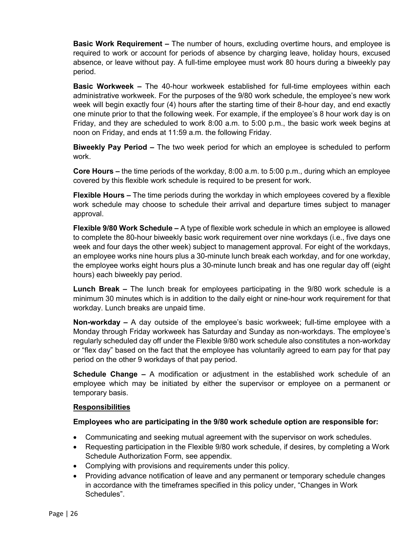**Basic Work Requirement –** The number of hours, excluding overtime hours, and employee is required to work or account for periods of absence by charging leave, holiday hours, excused absence, or leave without pay. A full-time employee must work 80 hours during a biweekly pay period.

**Basic Workweek –** The 40-hour workweek established for full-time employees within each administrative workweek. For the purposes of the 9/80 work schedule, the employee's new work week will begin exactly four (4) hours after the starting time of their 8-hour day, and end exactly one minute prior to that the following week. For example, if the employee's 8 hour work day is on Friday, and they are scheduled to work 8:00 a.m. to 5:00 p.m., the basic work week begins at noon on Friday, and ends at 11:59 a.m. the following Friday.

**Biweekly Pay Period –** The two week period for which an employee is scheduled to perform work.

**Core Hours –** the time periods of the workday, 8:00 a.m. to 5:00 p.m., during which an employee covered by this flexible work schedule is required to be present for work.

**Flexible Hours –** The time periods during the workday in which employees covered by a flexible work schedule may choose to schedule their arrival and departure times subject to manager approval.

**Flexible 9/80 Work Schedule –** A type of flexible work schedule in which an employee is allowed to complete the 80-hour biweekly basic work requirement over nine workdays (i.e., five days one week and four days the other week) subject to management approval. For eight of the workdays, an employee works nine hours plus a 30-minute lunch break each workday, and for one workday, the employee works eight hours plus a 30-minute lunch break and has one regular day off (eight hours) each biweekly pay period.

**Lunch Break –** The lunch break for employees participating in the 9/80 work schedule is a minimum 30 minutes which is in addition to the daily eight or nine-hour work requirement for that workday. Lunch breaks are unpaid time.

**Non-workday –** A day outside of the employee's basic workweek; full-time employee with a Monday through Friday workweek has Saturday and Sunday as non-workdays. The employee's regularly scheduled day off under the Flexible 9/80 work schedule also constitutes a non-workday or "flex day" based on the fact that the employee has voluntarily agreed to earn pay for that pay period on the other 9 workdays of that pay period.

**Schedule Change –** A modification or adjustment in the established work schedule of an employee which may be initiated by either the supervisor or employee on a permanent or temporary basis.

#### **Responsibilities**

# **Employees who are participating in the 9/80 work schedule option are responsible for:**

- Communicating and seeking mutual agreement with the supervisor on work schedules.
- Requesting participation in the Flexible 9/80 work schedule, if desires, by completing a Work Schedule Authorization Form, see appendix.
- Complying with provisions and requirements under this policy.
- Providing advance notification of leave and any permanent or temporary schedule changes in accordance with the timeframes specified in this policy under, "Changes in Work Schedules".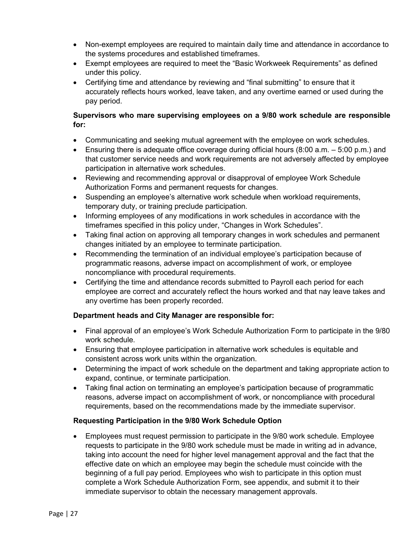- Non-exempt employees are required to maintain daily time and attendance in accordance to the systems procedures and established timeframes.
- Exempt employees are required to meet the "Basic Workweek Requirements" as defined under this policy.
- Certifying time and attendance by reviewing and "final submitting" to ensure that it accurately reflects hours worked, leave taken, and any overtime earned or used during the pay period.

#### **Supervisors who mare supervising employees on a 9/80 work schedule are responsible for:**

- Communicating and seeking mutual agreement with the employee on work schedules.
- Ensuring there is adequate office coverage during official hours  $(8:00 \text{ a.m.} 5:00 \text{ p.m.})$  and that customer service needs and work requirements are not adversely affected by employee participation in alternative work schedules.
- Reviewing and recommending approval or disapproval of employee Work Schedule Authorization Forms and permanent requests for changes.
- Suspending an employee's alternative work schedule when workload requirements, temporary duty, or training preclude participation.
- Informing employees of any modifications in work schedules in accordance with the timeframes specified in this policy under, "Changes in Work Schedules".
- Taking final action on approving all temporary changes in work schedules and permanent changes initiated by an employee to terminate participation.
- Recommending the termination of an individual employee's participation because of programmatic reasons, adverse impact on accomplishment of work, or employee noncompliance with procedural requirements.
- Certifying the time and attendance records submitted to Payroll each period for each employee are correct and accurately reflect the hours worked and that nay leave takes and any overtime has been properly recorded.

# **Department heads and City Manager are responsible for:**

- Final approval of an employee's Work Schedule Authorization Form to participate in the 9/80 work schedule.
- Ensuring that employee participation in alternative work schedules is equitable and consistent across work units within the organization.
- Determining the impact of work schedule on the department and taking appropriate action to expand, continue, or terminate participation.
- Taking final action on terminating an employee's participation because of programmatic reasons, adverse impact on accomplishment of work, or noncompliance with procedural requirements, based on the recommendations made by the immediate supervisor.

#### **Requesting Participation in the 9/80 Work Schedule Option**

• Employees must request permission to participate in the 9/80 work schedule. Employee requests to participate in the 9/80 work schedule must be made in writing ad in advance, taking into account the need for higher level management approval and the fact that the effective date on which an employee may begin the schedule must coincide with the beginning of a full pay period. Employees who wish to participate in this option must complete a Work Schedule Authorization Form, see appendix, and submit it to their immediate supervisor to obtain the necessary management approvals.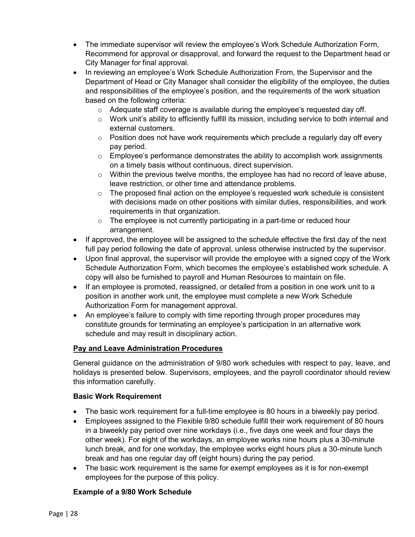- The immediate supervisor will review the employee's Work Schedule Authorization Form, Recommend for approval or disapproval, and forward the request to the Department head or City Manager for final approval.
- In reviewing an employee's Work Schedule Authorization From, the Supervisor and the Department of Head or City Manager shall consider the eligibility of the employee, the duties and responsibilities of the employee's position, and the requirements of the work situation based on the following criteria:
	- $\circ$  Adequate staff coverage is available during the employee's requested day off.
	- o Work unit's ability to efficiently fulfill its mission, including service to both internal and external customers.
	- $\circ$  Position does not have work requirements which preclude a reqularly day off every pay period.
	- $\circ$  Employee's performance demonstrates the ability to accomplish work assignments on a timely basis without continuous, direct supervision.
	- $\circ$  Within the previous twelve months, the employee has had no record of leave abuse, leave restriction, or other time and attendance problems.
	- $\circ$  The proposed final action on the employee's requested work schedule is consistent with decisions made on other positions with similar duties, responsibilities, and work requirements in that organization.
	- $\circ$  The employee is not currently participating in a part-time or reduced hour arrangement.
- If approved, the employee will be assigned to the schedule effective the first day of the next full pay period following the date of approval, unless otherwise instructed by the supervisor.
- Upon final approval, the supervisor will provide the employee with a signed copy of the Work Schedule Authorization Form, which becomes the employee's established work schedule. A copy will also be furnished to payroll and Human Resources to maintain on file.
- If an employee is promoted, reassigned, or detailed from a position in one work unit to a position in another work unit, the employee must complete a new Work Schedule Authorization Form for management approval.
- An employee's failure to comply with time reporting through proper procedures may constitute grounds for terminating an employee's participation in an alternative work schedule and may result in disciplinary action.

# **Pay and Leave Administration Procedures**

General guidance on the administration of 9/80 work schedules with respect to pay, leave, and holidays is presented below. Supervisors, employees, and the payroll coordinator should review this information carefully.

#### **Basic Work Requirement**

- The basic work requirement for a full-time employee is 80 hours in a biweekly pay period.
- Employees assigned to the Flexible 9/80 schedule fulfill their work requirement of 80 hours in a biweekly pay period over nine workdays (i.e., five days one week and four days the other week). For eight of the workdays, an employee works nine hours plus a 30-minute lunch break, and for one workday, the employee works eight hours plus a 30-minute lunch break and has one regular day off (eight hours) during the pay period.
- The basic work requirement is the same for exempt employees as it is for non-exempt employees for the purpose of this policy.

#### **Example of a 9/80 Work Schedule**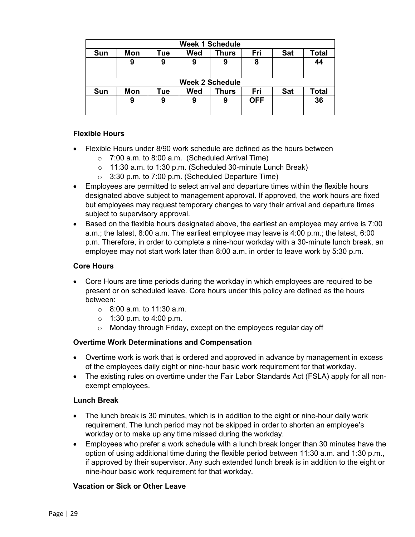| <b>Week 1 Schedule</b> |                        |     |     |              |            |            |              |
|------------------------|------------------------|-----|-----|--------------|------------|------------|--------------|
| Sun                    | Mon                    | Tue | Wed | <b>Thurs</b> | Fri        | <b>Sat</b> | <b>Total</b> |
|                        | 9                      | 9   | 9   | 9            | 8          |            | 44           |
|                        | <b>Week 2 Schedule</b> |     |     |              |            |            |              |
| Sun                    | <b>Mon</b>             | Tue | Wed | Thurs        | Fri        | <b>Sat</b> | <b>Total</b> |
|                        | 9                      | 9   | 9   | 9            | <b>OFF</b> |            | 36           |

# **Flexible Hours**

- Flexible Hours under 8/90 work schedule are defined as the hours between
	- $\circ$  7:00 a.m. to 8:00 a.m. (Scheduled Arrival Time)
	- o 11:30 a.m. to 1:30 p.m. (Scheduled 30-minute Lunch Break)
	- $\circ$  3:30 p.m. to 7:00 p.m. (Scheduled Departure Time)
- Employees are permitted to select arrival and departure times within the flexible hours designated above subject to management approval. If approved, the work hours are fixed but employees may request temporary changes to vary their arrival and departure times subject to supervisory approval.
- Based on the flexible hours designated above, the earliest an employee may arrive is 7:00 a.m.; the latest, 8:00 a.m. The earliest employee may leave is 4:00 p.m.; the latest, 6:00 p.m. Therefore, in order to complete a nine-hour workday with a 30-minute lunch break, an employee may not start work later than 8:00 a.m. in order to leave work by 5:30 p.m.

#### **Core Hours**

- Core Hours are time periods during the workday in which employees are required to be present or on scheduled leave. Core hours under this policy are defined as the hours between:
	- o 8:00 a.m. to 11:30 a.m.
	- $\circ$  1:30 p.m. to 4:00 p.m.
	- o Monday through Friday, except on the employees regular day off

#### **Overtime Work Determinations and Compensation**

- Overtime work is work that is ordered and approved in advance by management in excess of the employees daily eight or nine-hour basic work requirement for that workday.
- The existing rules on overtime under the Fair Labor Standards Act (FSLA) apply for all nonexempt employees.

#### **Lunch Break**

- The lunch break is 30 minutes, which is in addition to the eight or nine-hour daily work requirement. The lunch period may not be skipped in order to shorten an employee's workday or to make up any time missed during the workday.
- Employees who prefer a work schedule with a lunch break longer than 30 minutes have the option of using additional time during the flexible period between 11:30 a.m. and 1:30 p.m., if approved by their supervisor. Any such extended lunch break is in addition to the eight or nine-hour basic work requirement for that workday.

#### **Vacation or Sick or Other Leave**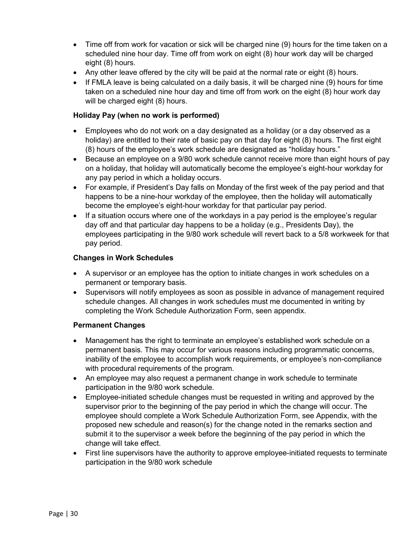- Time off from work for vacation or sick will be charged nine (9) hours for the time taken on a scheduled nine hour day. Time off from work on eight (8) hour work day will be charged eight (8) hours.
- Any other leave offered by the city will be paid at the normal rate or eight (8) hours.
- If FMLA leave is being calculated on a daily basis, it will be charged nine (9) hours for time taken on a scheduled nine hour day and time off from work on the eight (8) hour work day will be charged eight (8) hours.

#### **Holiday Pay (when no work is performed)**

- Employees who do not work on a day designated as a holiday (or a day observed as a holiday) are entitled to their rate of basic pay on that day for eight (8) hours. The first eight (8) hours of the employee's work schedule are designated as "holiday hours."
- Because an employee on a 9/80 work schedule cannot receive more than eight hours of pay on a holiday, that holiday will automatically become the employee's eight-hour workday for any pay period in which a holiday occurs.
- For example, if President's Day falls on Monday of the first week of the pay period and that happens to be a nine-hour workday of the employee, then the holiday will automatically become the employee's eight-hour workday for that particular pay period.
- If a situation occurs where one of the workdays in a pay period is the employee's regular day off and that particular day happens to be a holiday (e.g., Presidents Day), the employees participating in the 9/80 work schedule will revert back to a 5/8 workweek for that pay period.

#### **Changes in Work Schedules**

- A supervisor or an employee has the option to initiate changes in work schedules on a permanent or temporary basis.
- Supervisors will notify employees as soon as possible in advance of management required schedule changes. All changes in work schedules must me documented in writing by completing the Work Schedule Authorization Form, seen appendix.

#### **Permanent Changes**

- Management has the right to terminate an employee's established work schedule on a permanent basis. This may occur for various reasons including programmatic concerns, inability of the employee to accomplish work requirements, or employee's non-compliance with procedural requirements of the program.
- An employee may also request a permanent change in work schedule to terminate participation in the 9/80 work schedule.
- Employee-initiated schedule changes must be requested in writing and approved by the supervisor prior to the beginning of the pay period in which the change will occur. The employee should complete a Work Schedule Authorization Form, see Appendix, with the proposed new schedule and reason(s) for the change noted in the remarks section and submit it to the supervisor a week before the beginning of the pay period in which the change will take effect.
- First line supervisors have the authority to approve employee-initiated requests to terminate participation in the 9/80 work schedule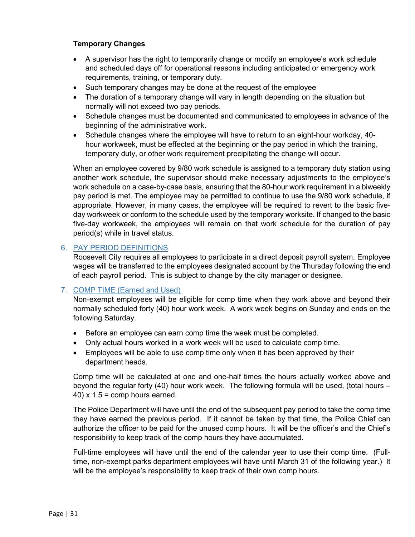#### **Temporary Changes**

- A supervisor has the right to temporarily change or modify an employee's work schedule and scheduled days off for operational reasons including anticipated or emergency work requirements, training, or temporary duty.
- Such temporary changes may be done at the request of the employee
- The duration of a temporary change will vary in length depending on the situation but normally will not exceed two pay periods.
- Schedule changes must be documented and communicated to employees in advance of the beginning of the administrative work.
- Schedule changes where the employee will have to return to an eight-hour workday, 40 hour workweek, must be effected at the beginning or the pay period in which the training, temporary duty, or other work requirement precipitating the change will occur.

When an employee covered by 9/80 work schedule is assigned to a temporary duty station using another work schedule, the supervisor should make necessary adjustments to the employee's work schedule on a case-by-case basis, ensuring that the 80-hour work requirement in a biweekly pay period is met. The employee may be permitted to continue to use the 9/80 work schedule, if appropriate. However, in many cases, the employee will be required to revert to the basic fiveday workweek or conform to the schedule used by the temporary worksite. If changed to the basic five-day workweek, the employees will remain on that work schedule for the duration of pay period(s) while in travel status.

#### <span id="page-30-0"></span>6. PAY PERIOD DEFINITIONS

Roosevelt City requires all employees to participate in a direct deposit payroll system. Employee wages will be transferred to the employees designated account by the Thursday following the end of each payroll period. This is subject to change by the city manager or designee.

#### <span id="page-30-1"></span>7. COMP TIME (Earned and Used)

Non-exempt employees will be eligible for comp time when they work above and beyond their normally scheduled forty (40) hour work week. A work week begins on Sunday and ends on the following Saturday.

- Before an employee can earn comp time the week must be completed.
- Only actual hours worked in a work week will be used to calculate comp time.
- Employees will be able to use comp time only when it has been approved by their department heads.

Comp time will be calculated at one and one-half times the hours actually worked above and beyond the regular forty (40) hour work week. The following formula will be used, (total hours –  $(40)$  x 1.5 = comp hours earned.

The Police Department will have until the end of the subsequent pay period to take the comp time they have earned the previous period. If it cannot be taken by that time, the Police Chief can authorize the officer to be paid for the unused comp hours. It will be the officer's and the Chief's responsibility to keep track of the comp hours they have accumulated.

Full-time employees will have until the end of the calendar year to use their comp time. (Fulltime, non-exempt parks department employees will have until March 31 of the following year.) It will be the employee's responsibility to keep track of their own comp hours.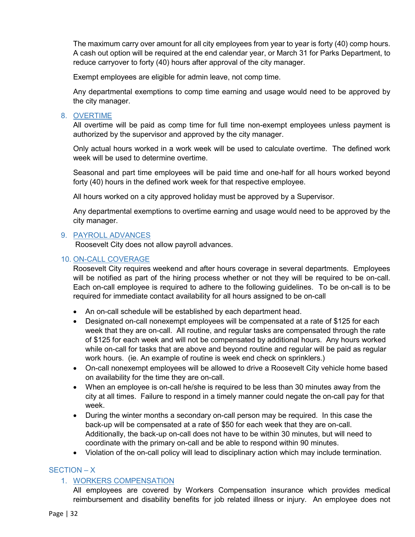The maximum carry over amount for all city employees from year to year is forty (40) comp hours. A cash out option will be required at the end calendar year, or March 31 for Parks Department, to reduce carryover to forty (40) hours after approval of the city manager.

Exempt employees are eligible for admin leave, not comp time.

Any departmental exemptions to comp time earning and usage would need to be approved by the city manager.

# <span id="page-31-0"></span>8. OVERTIME

All overtime will be paid as comp time for full time non-exempt employees unless payment is authorized by the supervisor and approved by the city manager.

Only actual hours worked in a work week will be used to calculate overtime. The defined work week will be used to determine overtime.

Seasonal and part time employees will be paid time and one-half for all hours worked beyond forty (40) hours in the defined work week for that respective employee.

All hours worked on a city approved holiday must be approved by a Supervisor.

Any departmental exemptions to overtime earning and usage would need to be approved by the city manager.

# <span id="page-31-1"></span>9. PAYROLL ADVANCES

Roosevelt City does not allow payroll advances.

#### <span id="page-31-2"></span>10. ON-CALL COVERAGE

Roosevelt City requires weekend and after hours coverage in several departments. Employees will be notified as part of the hiring process whether or not they will be required to be on-call. Each on-call employee is required to adhere to the following guidelines. To be on-call is to be required for immediate contact availability for all hours assigned to be on-call

- An on-call schedule will be established by each department head.
- Designated on-call nonexempt employees will be compensated at a rate of \$125 for each week that they are on-call. All routine, and regular tasks are compensated through the rate of \$125 for each week and will not be compensated by additional hours. Any hours worked while on-call for tasks that are above and beyond routine and regular will be paid as regular work hours. (ie. An example of routine is week end check on sprinklers.)
- On-call nonexempt employees will be allowed to drive a Roosevelt City vehicle home based on availability for the time they are on-call.
- When an employee is on-call he/she is required to be less than 30 minutes away from the city at all times. Failure to respond in a timely manner could negate the on-call pay for that week.
- During the winter months a secondary on-call person may be required. In this case the back-up will be compensated at a rate of \$50 for each week that they are on-call. Additionally, the back-up on-call does not have to be within 30 minutes, but will need to coordinate with the primary on-call and be able to respond within 90 minutes.
- Violation of the on-call policy will lead to disciplinary action which may include termination.

# <span id="page-31-4"></span><span id="page-31-3"></span>SECTION – X

# 1. WORKERS COMPENSATION

All employees are covered by Workers Compensation insurance which provides medical reimbursement and disability benefits for job related illness or injury. An employee does not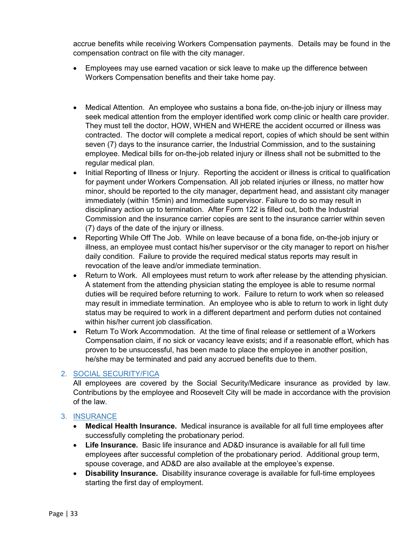accrue benefits while receiving Workers Compensation payments. Details may be found in the compensation contract on file with the city manager.

- Employees may use earned vacation or sick leave to make up the difference between Workers Compensation benefits and their take home pay.
- Medical Attention. An employee who sustains a bona fide, on-the-job injury or illness may seek medical attention from the employer identified work comp clinic or health care provider. They must tell the doctor, HOW, WHEN and WHERE the accident occurred or illness was contracted. The doctor will complete a medical report, copies of which should be sent within seven (7) days to the insurance carrier, the Industrial Commission, and to the sustaining employee. Medical bills for on-the-job related injury or illness shall not be submitted to the regular medical plan.
- Initial Reporting of Illness or Injury. Reporting the accident or illness is critical to qualification for payment under Workers Compensation. All job related injuries or illness, no matter how minor, should be reported to the city manager, department head, and assistant city manager immediately (within 15min) and Immediate supervisor. Failure to do so may result in disciplinary action up to termination. After Form 122 is filled out, both the Industrial Commission and the insurance carrier copies are sent to the insurance carrier within seven (7) days of the date of the injury or illness.
- Reporting While Off The Job. While on leave because of a bona fide, on-the-job injury or illness, an employee must contact his/her supervisor or the city manager to report on his/her daily condition. Failure to provide the required medical status reports may result in revocation of the leave and/or immediate termination.
- Return to Work. All employees must return to work after release by the attending physician. A statement from the attending physician stating the employee is able to resume normal duties will be required before returning to work. Failure to return to work when so released may result in immediate termination. An employee who is able to return to work in light duty status may be required to work in a different department and perform duties not contained within his/her current job classification.
- Return To Work Accommodation. At the time of final release or settlement of a Workers Compensation claim, if no sick or vacancy leave exists; and if a reasonable effort, which has proven to be unsuccessful, has been made to place the employee in another position, he/she may be terminated and paid any accrued benefits due to them.

# <span id="page-32-0"></span>2. SOCIAL SECURITY/FICA

All employees are covered by the Social Security/Medicare insurance as provided by law. Contributions by the employee and Roosevelt City will be made in accordance with the provision of the law.

# <span id="page-32-1"></span>3. INSURANCE

- **Medical Health Insurance.** Medical insurance is available for all full time employees after successfully completing the probationary period.
- **Life Insurance.** Basic life insurance and AD&D insurance is available for all full time employees after successful completion of the probationary period. Additional group term, spouse coverage, and AD&D are also available at the employee's expense.
- **Disability Insurance.** Disability insurance coverage is available for full-time employees starting the first day of employment.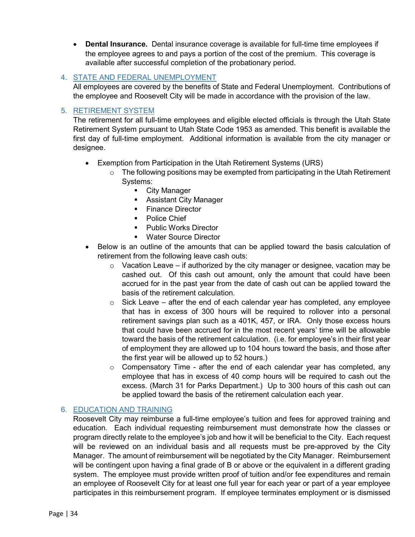• **Dental Insurance.** Dental insurance coverage is available for full-time time employees if the employee agrees to and pays a portion of the cost of the premium. This coverage is available after successful completion of the probationary period.

# <span id="page-33-0"></span>4. STATE AND FEDERAL UNEMPLOYMENT

All employees are covered by the benefits of State and Federal Unemployment. Contributions of the employee and Roosevelt City will be made in accordance with the provision of the law.

# <span id="page-33-1"></span>5. RETIREMENT SYSTEM

The retirement for all full-time employees and eligible elected officials is through the Utah State Retirement System pursuant to Utah State Code 1953 as amended. This benefit is available the first day of full-time employment. Additional information is available from the city manager or designee.

- Exemption from Participation in the Utah Retirement Systems (URS)
	- $\circ$  The following positions may be exempted from participating in the Utah Retirement Systems:
		- **City Manager**
		- **Assistant City Manager**
		- **Finance Director**
		- **Police Chief**
		- **Public Works Director**
		- **Water Source Director**
- Below is an outline of the amounts that can be applied toward the basis calculation of retirement from the following leave cash outs:
	- $\circ$  Vacation Leave if authorized by the city manager or designee, vacation may be cashed out. Of this cash out amount, only the amount that could have been accrued for in the past year from the date of cash out can be applied toward the basis of the retirement calculation.
	- $\circ$  Sick Leave after the end of each calendar year has completed, any employee that has in excess of 300 hours will be required to rollover into a personal retirement savings plan such as a 401K, 457, or IRA. Only those excess hours that could have been accrued for in the most recent years' time will be allowable toward the basis of the retirement calculation. (i.e. for employee's in their first year of employment they are allowed up to 104 hours toward the basis, and those after the first year will be allowed up to 52 hours.)
	- $\circ$  Compensatory Time after the end of each calendar year has completed, any employee that has in excess of 40 comp hours will be required to cash out the excess. (March 31 for Parks Department.) Up to 300 hours of this cash out can be applied toward the basis of the retirement calculation each year.

# <span id="page-33-2"></span>6. EDUCATION AND TRAINING

Roosevelt City may reimburse a full-time employee's tuition and fees for approved training and education. Each individual requesting reimbursement must demonstrate how the classes or program directly relate to the employee's job and how it will be beneficial to the City. Each request will be reviewed on an individual basis and all requests must be pre-approved by the City Manager. The amount of reimbursement will be negotiated by the City Manager. Reimbursement will be contingent upon having a final grade of B or above or the equivalent in a different grading system. The employee must provide written proof of tuition and/or fee expenditures and remain an employee of Roosevelt City for at least one full year for each year or part of a year employee participates in this reimbursement program. If employee terminates employment or is dismissed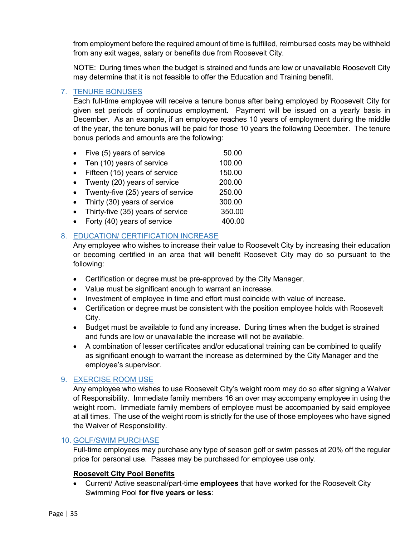from employment before the required amount of time is fulfilled, reimbursed costs may be withheld from any exit wages, salary or benefits due from Roosevelt City.

NOTE: During times when the budget is strained and funds are low or unavailable Roosevelt City may determine that it is not feasible to offer the Education and Training benefit.

# <span id="page-34-0"></span>7. TENURE BONUSES

Each full-time employee will receive a tenure bonus after being employed by Roosevelt City for given set periods of continuous employment. Payment will be issued on a yearly basis in December. As an example, if an employee reaches 10 years of employment during the middle of the year, the tenure bonus will be paid for those 10 years the following December. The tenure bonus periods and amounts are the following:

- Five  $(5)$  years of service  $50.00$ • Ten (10) years of service 100.00
- Fifteen (15) years of service 150.00
- Twenty (20) years of service 200.00
- Twenty-five (25) years of service 250.00
- Thirty (30) years of service 300.00
- Thirty-five (35) years of service 350.00
- Forty  $(40)$  years of service  $400.00$

# <span id="page-34-1"></span>8. EDUCATION/ CERTIFICATION INCREASE

Any employee who wishes to increase their value to Roosevelt City by increasing their education or becoming certified in an area that will benefit Roosevelt City may do so pursuant to the following:

- Certification or degree must be pre-approved by the City Manager.
- Value must be significant enough to warrant an increase.
- Investment of employee in time and effort must coincide with value of increase.
- Certification or degree must be consistent with the position employee holds with Roosevelt City.
- Budget must be available to fund any increase. During times when the budget is strained and funds are low or unavailable the increase will not be available.
- A combination of lesser certificates and/or educational training can be combined to qualify as significant enough to warrant the increase as determined by the City Manager and the employee's supervisor.

# <span id="page-34-2"></span>9. EXERCISE ROOM USE

Any employee who wishes to use Roosevelt City's weight room may do so after signing a Waiver of Responsibility. Immediate family members 16 an over may accompany employee in using the weight room. Immediate family members of employee must be accompanied by said employee at all times. The use of the weight room is strictly for the use of those employees who have signed the Waiver of Responsibility.

# <span id="page-34-3"></span>10. GOLF/SWIM PURCHASE

Full-time employees may purchase any type of season golf or swim passes at 20% off the regular price for personal use. Passes may be purchased for employee use only.

# **Roosevelt City Pool Benefits**

• Current/ Active seasonal/part-time **employees** that have worked for the Roosevelt City Swimming Pool **for five years or less**: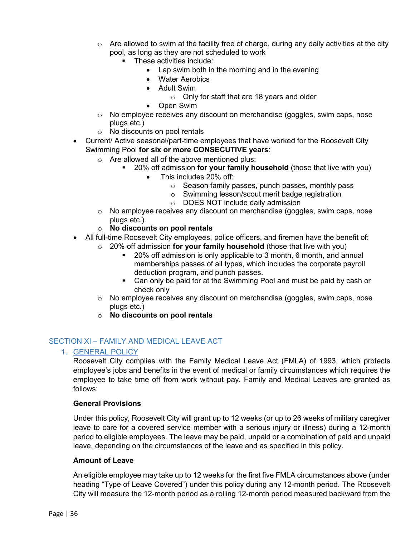- $\circ$  Are allowed to swim at the facility free of charge, during any daily activities at the city pool, as long as they are not scheduled to work
	- These activities include:
		- Lap swim both in the morning and in the evening
		- Water Aerobics
		- Adult Swim
			- o Only for staff that are 18 years and older
		- Open Swim
- $\circ$  No employee receives any discount on merchandise (goggles, swim caps, nose plugs etc.)
- o No discounts on pool rentals
- Current/ Active seasonal/part-time employees that have worked for the Roosevelt City Swimming Pool **for six or more CONSECUTIVE years**:
	- o Are allowed all of the above mentioned plus:
		- 20% off admission **for your family household** (those that live with you)
			- This includes 20% off:
				- o Season family passes, punch passes, monthly pass
				- o Swimming lesson/scout merit badge registration
				- o DOES NOT include daily admission
	- $\circ$  No employee receives any discount on merchandise (goggles, swim caps, nose plugs etc.)
	- o **No discounts on pool rentals**
- All full-time Roosevelt City employees, police officers, and firemen have the benefit of:
	- o 20% off admission **for your family household** (those that live with you)
		- 20% off admission is only applicable to 3 month, 6 month, and annual memberships passes of all types, which includes the corporate payroll deduction program, and punch passes.
		- Can only be paid for at the Swimming Pool and must be paid by cash or check only
	- o No employee receives any discount on merchandise (goggles, swim caps, nose plugs etc.)
	- o **No discounts on pool rentals**

# <span id="page-35-1"></span><span id="page-35-0"></span>SECTION XI – FAMILY AND MEDICAL LEAVE ACT

1. GENERAL POLICY

Roosevelt City complies with the Family Medical Leave Act (FMLA) of 1993, which protects employee's jobs and benefits in the event of medical or family circumstances which requires the employee to take time off from work without pay. Family and Medical Leaves are granted as follows:

#### **General Provisions**

Under this policy, Roosevelt City will grant up to 12 weeks (or up to 26 weeks of military caregiver leave to care for a covered service member with a serious injury or illness) during a 12-month period to eligible employees. The leave may be paid, unpaid or a combination of paid and unpaid leave, depending on the circumstances of the leave and as specified in this policy.

#### **Amount of Leave**

An eligible employee may take up to 12 weeks for the first five FMLA circumstances above (under heading "Type of Leave Covered") under this policy during any 12-month period. The Roosevelt City will measure the 12-month period as a rolling 12-month period measured backward from the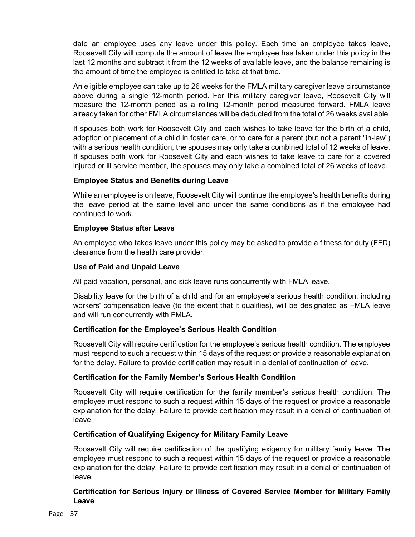date an employee uses any leave under this policy. Each time an employee takes leave, Roosevelt City will compute the amount of leave the employee has taken under this policy in the last 12 months and subtract it from the 12 weeks of available leave, and the balance remaining is the amount of time the employee is entitled to take at that time.

An eligible employee can take up to 26 weeks for the FMLA military caregiver leave circumstance above during a single 12-month period. For this military caregiver leave, Roosevelt City will measure the 12-month period as a rolling 12-month period measured forward. FMLA leave already taken for other FMLA circumstances will be deducted from the total of 26 weeks available.

If spouses both work for Roosevelt City and each wishes to take leave for the birth of a child, adoption or placement of a child in foster care, or to care for a parent (but not a parent "in-law") with a serious health condition, the spouses may only take a combined total of 12 weeks of leave. If spouses both work for Roosevelt City and each wishes to take leave to care for a covered injured or ill service member, the spouses may only take a combined total of 26 weeks of leave.

#### **Employee Status and Benefits during Leave**

While an employee is on leave, Roosevelt City will continue the employee's health benefits during the leave period at the same level and under the same conditions as if the employee had continued to work.

#### **Employee Status after Leave**

An employee who takes leave under this policy may be asked to provide a fitness for duty (FFD) clearance from the health care provider.

#### **Use of Paid and Unpaid Leave**

All paid vacation, personal, and sick leave runs concurrently with FMLA leave.

Disability leave for the birth of a child and for an employee's serious health condition, including workers' compensation leave (to the extent that it qualifies), will be designated as FMLA leave and will run concurrently with FMLA.

# **Certification for the Employee's Serious Health Condition**

Roosevelt City will require certification for the employee's serious health condition. The employee must respond to such a request within 15 days of the request or provide a reasonable explanation for the delay. Failure to provide certification may result in a denial of continuation of leave.

# **Certification for the Family Member's Serious Health Condition**

Roosevelt City will require certification for the family member's serious health condition. The employee must respond to such a request within 15 days of the request or provide a reasonable explanation for the delay. Failure to provide certification may result in a denial of continuation of leave.

# **Certification of Qualifying Exigency for Military Family Leave**

Roosevelt City will require certification of the qualifying exigency for military family leave. The employee must respond to such a request within 15 days of the request or provide a reasonable explanation for the delay. Failure to provide certification may result in a denial of continuation of leave.

#### **Certification for Serious Injury or Illness of Covered Service Member for Military Family Leave**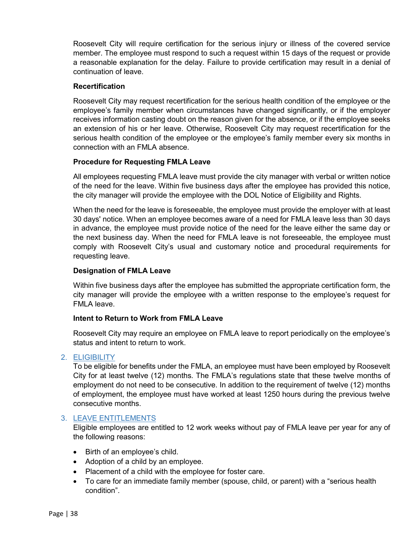Roosevelt City will require certification for the serious injury or illness of the covered service member. The employee must respond to such a request within 15 days of the request or provide a reasonable explanation for the delay. Failure to provide certification may result in a denial of continuation of leave.

#### **Recertification**

Roosevelt City may request recertification for the serious health condition of the employee or the employee's family member when circumstances have changed significantly, or if the employer receives information casting doubt on the reason given for the absence, or if the employee seeks an extension of his or her leave. Otherwise, Roosevelt City may request recertification for the serious health condition of the employee or the employee's family member every six months in connection with an FMLA absence.

#### **Procedure for Requesting FMLA Leave**

All employees requesting FMLA leave must provide the city manager with verbal or written notice of the need for the leave. Within five business days after the employee has provided this notice, the city manager will provide the employee with the DOL Notice of Eligibility and Rights.

When the need for the leave is foreseeable, the employee must provide the employer with at least 30 days' notice. When an employee becomes aware of a need for FMLA leave less than 30 days in advance, the employee must provide notice of the need for the leave either the same day or the next business day. When the need for FMLA leave is not foreseeable, the employee must comply with Roosevelt City's usual and customary notice and procedural requirements for requesting leave.

#### **Designation of FMLA Leave**

Within five business days after the employee has submitted the appropriate certification form, the city manager will provide the employee with a written response to the employee's request for FMLA leave.

#### **Intent to Return to Work from FMLA Leave**

Roosevelt City may require an employee on FMLA leave to report periodically on the employee's status and intent to return to work.

#### <span id="page-37-0"></span>2. ELIGIBILITY

To be eligible for benefits under the FMLA, an employee must have been employed by Roosevelt City for at least twelve (12) months. The FMLA's regulations state that these twelve months of employment do not need to be consecutive. In addition to the requirement of twelve (12) months of employment, the employee must have worked at least 1250 hours during the previous twelve consecutive months.

#### <span id="page-37-1"></span>3. LEAVE ENTITLEMENTS

Eligible employees are entitled to 12 work weeks without pay of FMLA leave per year for any of the following reasons:

- Birth of an employee's child.
- Adoption of a child by an employee.
- Placement of a child with the employee for foster care.
- To care for an immediate family member (spouse, child, or parent) with a "serious health condition".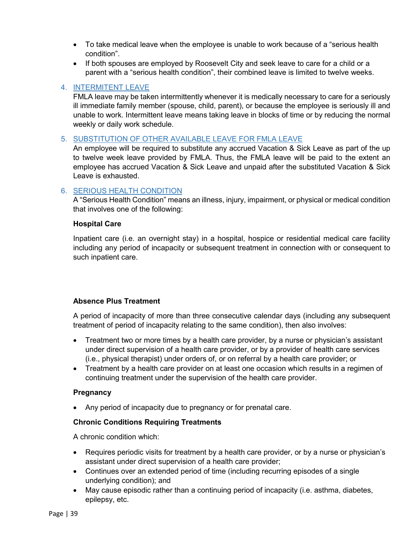- To take medical leave when the employee is unable to work because of a "serious health condition".
- If both spouses are employed by Roosevelt City and seek leave to care for a child or a parent with a "serious health condition", their combined leave is limited to twelve weeks.

#### <span id="page-38-0"></span>4. INTERMITENT LEAVE

FMLA leave may be taken intermittently whenever it is medically necessary to care for a seriously ill immediate family member (spouse, child, parent), or because the employee is seriously ill and unable to work. Intermittent leave means taking leave in blocks of time or by reducing the normal weekly or daily work schedule.

#### <span id="page-38-1"></span>5. SUBSTITUTION OF OTHER AVAILABLE LEAVE FOR FMLA LEAVE

An employee will be required to substitute any accrued Vacation & Sick Leave as part of the up to twelve week leave provided by FMLA. Thus, the FMLA leave will be paid to the extent an employee has accrued Vacation & Sick Leave and unpaid after the substituted Vacation & Sick Leave is exhausted.

#### <span id="page-38-2"></span>6. SERIOUS HEALTH CONDITION

A "Serious Health Condition" means an illness, injury, impairment, or physical or medical condition that involves one of the following:

#### **Hospital Care**

Inpatient care (i.e. an overnight stay) in a hospital, hospice or residential medical care facility including any period of incapacity or subsequent treatment in connection with or consequent to such inpatient care.

#### **Absence Plus Treatment**

A period of incapacity of more than three consecutive calendar days (including any subsequent treatment of period of incapacity relating to the same condition), then also involves:

- Treatment two or more times by a health care provider, by a nurse or physician's assistant under direct supervision of a health care provider, or by a provider of health care services (i.e., physical therapist) under orders of, or on referral by a health care provider; or
- Treatment by a health care provider on at least one occasion which results in a regimen of continuing treatment under the supervision of the health care provider.

#### **Pregnancy**

• Any period of incapacity due to pregnancy or for prenatal care.

#### **Chronic Conditions Requiring Treatments**

A chronic condition which:

- Requires periodic visits for treatment by a health care provider, or by a nurse or physician's assistant under direct supervision of a health care provider;
- Continues over an extended period of time (including recurring episodes of a single underlying condition); and
- May cause episodic rather than a continuing period of incapacity (i.e. asthma, diabetes, epilepsy, etc.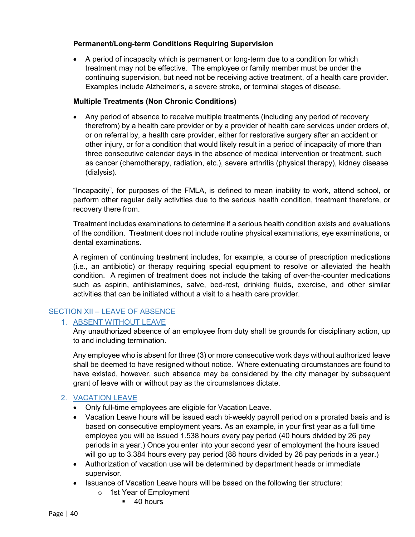#### **Permanent/Long-term Conditions Requiring Supervision**

• A period of incapacity which is permanent or long-term due to a condition for which treatment may not be effective. The employee or family member must be under the continuing supervision, but need not be receiving active treatment, of a health care provider. Examples include Alzheimer's, a severe stroke, or terminal stages of disease.

#### **Multiple Treatments (Non Chronic Conditions)**

• Any period of absence to receive multiple treatments (including any period of recovery therefrom) by a health care provider or by a provider of health care services under orders of, or on referral by, a health care provider, either for restorative surgery after an accident or other injury, or for a condition that would likely result in a period of incapacity of more than three consecutive calendar days in the absence of medical intervention or treatment, such as cancer (chemotherapy, radiation, etc.), severe arthritis (physical therapy), kidney disease (dialysis).

"Incapacity", for purposes of the FMLA, is defined to mean inability to work, attend school, or perform other regular daily activities due to the serious health condition, treatment therefore, or recovery there from.

Treatment includes examinations to determine if a serious health condition exists and evaluations of the condition. Treatment does not include routine physical examinations, eye examinations, or dental examinations.

A regimen of continuing treatment includes, for example, a course of prescription medications (i.e., an antibiotic) or therapy requiring special equipment to resolve or alleviated the health condition. A regimen of treatment does not include the taking of over-the-counter medications such as aspirin, antihistamines, salve, bed-rest, drinking fluids, exercise, and other similar activities that can be initiated without a visit to a health care provider.

# <span id="page-39-1"></span><span id="page-39-0"></span>SECTION XII – LEAVE OF ABSENCE

# 1. ABSENT WITHOUT LEAVE

Any unauthorized absence of an employee from duty shall be grounds for disciplinary action, up to and including termination.

Any employee who is absent for three (3) or more consecutive work days without authorized leave shall be deemed to have resigned without notice. Where extenuating circumstances are found to have existed, however, such absence may be considered by the city manager by subsequent grant of leave with or without pay as the circumstances dictate.

# <span id="page-39-2"></span>2. VACATION LEAVE

- Only full-time employees are eligible for Vacation Leave.
- Vacation Leave hours will be issued each bi-weekly payroll period on a prorated basis and is based on consecutive employment years. As an example, in your first year as a full time employee you will be issued 1.538 hours every pay period (40 hours divided by 26 pay periods in a year.) Once you enter into your second year of employment the hours issued will go up to 3.384 hours every pay period (88 hours divided by 26 pay periods in a year.)
- Authorization of vacation use will be determined by department heads or immediate supervisor.
- Issuance of Vacation Leave hours will be based on the following tier structure:
	- o 1st Year of Employment
		- $-40$  hours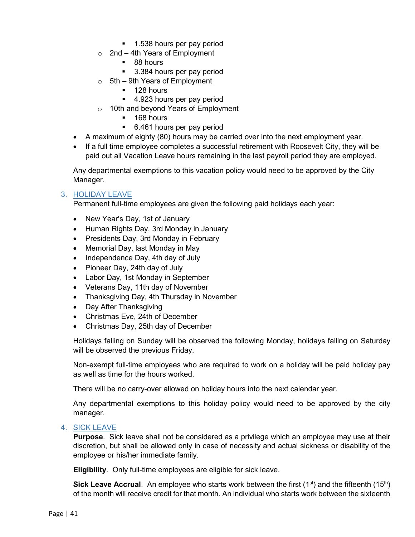- 1.538 hours per pay period
- $\circ$  2nd 4th Years of Employment
	- 88 hours
	- 3.384 hours per pay period
- $\circ$  5th 9th Years of Employment
	- $128$  hours
	- 4.923 hours per pay period
- o 10th and beyond Years of Employment
	- $-168$  hours
	- 6.461 hours per pay period
- A maximum of eighty (80) hours may be carried over into the next employment year.
- If a full time employee completes a successful retirement with Roosevelt City, they will be paid out all Vacation Leave hours remaining in the last payroll period they are employed.

Any departmental exemptions to this vacation policy would need to be approved by the City Manager.

#### <span id="page-40-0"></span>3. HOLIDAY LEAVE

Permanent full-time employees are given the following paid holidays each year:

- New Year's Day, 1st of January
- Human Rights Day, 3rd Monday in January
- Presidents Day, 3rd Monday in February
- Memorial Day, last Monday in May
- Independence Day, 4th day of July
- Pioneer Day, 24th day of July
- Labor Day, 1st Monday in September
- Veterans Day, 11th day of November
- Thanksgiving Day, 4th Thursday in November
- Day After Thanksgiving
- Christmas Eve, 24th of December
- Christmas Day, 25th day of December

Holidays falling on Sunday will be observed the following Monday, holidays falling on Saturday will be observed the previous Friday.

Non-exempt full-time employees who are required to work on a holiday will be paid holiday pay as well as time for the hours worked.

There will be no carry-over allowed on holiday hours into the next calendar year.

Any departmental exemptions to this holiday policy would need to be approved by the city manager.

#### <span id="page-40-1"></span>4. SICK LEAVE

**Purpose**. Sick leave shall not be considered as a privilege which an employee may use at their discretion, but shall be allowed only in case of necessity and actual sickness or disability of the employee or his/her immediate family.

**Eligibility**. Only full-time employees are eligible for sick leave.

**Sick Leave Accrual**. An employee who starts work between the first (1<sup>st</sup>) and the fifteenth (15<sup>th</sup>) of the month will receive credit for that month. An individual who starts work between the sixteenth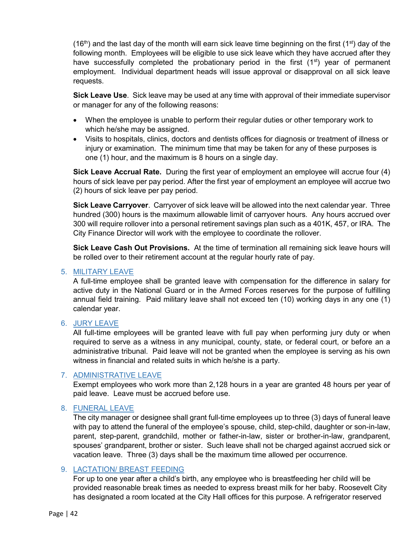$(16<sup>th</sup>)$  and the last day of the month will earn sick leave time beginning on the first (1<sup>st</sup>) day of the following month. Employees will be eligible to use sick leave which they have accrued after they have successfully completed the probationary period in the first  $(1<sup>st</sup>)$  year of permanent employment. Individual department heads will issue approval or disapproval on all sick leave requests.

**Sick Leave Use**. Sick leave may be used at any time with approval of their immediate supervisor or manager for any of the following reasons:

- When the employee is unable to perform their regular duties or other temporary work to which he/she may be assigned.
- Visits to hospitals, clinics, doctors and dentists offices for diagnosis or treatment of illness or injury or examination. The minimum time that may be taken for any of these purposes is one (1) hour, and the maximum is 8 hours on a single day.

**Sick Leave Accrual Rate.** During the first year of employment an employee will accrue four (4) hours of sick leave per pay period. After the first year of employment an employee will accrue two (2) hours of sick leave per pay period.

**Sick Leave Carryover**. Carryover of sick leave will be allowed into the next calendar year. Three hundred (300) hours is the maximum allowable limit of carryover hours. Any hours accrued over 300 will require rollover into a personal retirement savings plan such as a 401K, 457, or IRA. The City Finance Director will work with the employee to coordinate the rollover.

**Sick Leave Cash Out Provisions.** At the time of termination all remaining sick leave hours will be rolled over to their retirement account at the regular hourly rate of pay.

#### <span id="page-41-0"></span>5. MILITARY LEAVE

A full-time employee shall be granted leave with compensation for the difference in salary for active duty in the National Guard or in the Armed Forces reserves for the purpose of fulfilling annual field training. Paid military leave shall not exceed ten (10) working days in any one (1) calendar year.

#### <span id="page-41-1"></span>6. JURY LEAVE

All full-time employees will be granted leave with full pay when performing jury duty or when required to serve as a witness in any municipal, county, state, or federal court, or before an a administrative tribunal. Paid leave will not be granted when the employee is serving as his own witness in financial and related suits in which he/she is a party.

#### <span id="page-41-2"></span>7. ADMINISTRATIVE LEAVE

Exempt employees who work more than 2,128 hours in a year are granted 48 hours per year of paid leave. Leave must be accrued before use.

# <span id="page-41-3"></span>8. FUNERAL LEAVE

The city manager or designee shall grant full-time employees up to three (3) days of funeral leave with pay to attend the funeral of the employee's spouse, child, step-child, daughter or son-in-law, parent, step-parent, grandchild, mother or father-in-law, sister or brother-in-law, grandparent, spouses' grandparent, brother or sister. Such leave shall not be charged against accrued sick or vacation leave. Three (3) days shall be the maximum time allowed per occurrence.

#### <span id="page-41-4"></span>9. LACTATION/ BREAST FEEDING

For up to one year after a child's birth, any employee who is breastfeeding her child will be provided reasonable break times as needed to express breast milk for her baby. Roosevelt City has designated a room located at the City Hall offices for this purpose. A refrigerator reserved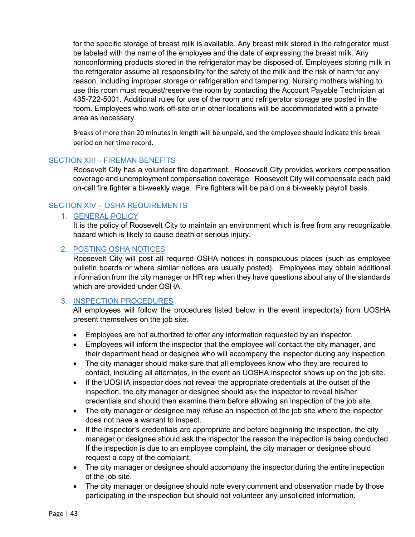for the specific storage of breast milk is available. Any breast milk stored in the refrigerator must be labeled with the name of the employee and the date of expressing the breast milk. Any nonconforming products stored in the refrigerator may be disposed of. Employees storing milk in the refrigerator assume all responsibility for the safety of the milk and the risk of harm for any reason, including improper storage or refrigeration and tampering. Nursing mothers wishing to use this room must request/reserve the room by contacting the Account Payable Technician at 435-722-5001. Additional rules for use of the room and refrigerator storage are posted in the room. Employees who work off-site or in other locations will be accommodated with a private area as necessary.

Breaks of more than 20 minutes in length will be unpaid, and the employee should indicate this break period on her time record.

#### <span id="page-42-0"></span>SECTION XIII – FIREMAN BENEFITS

Roosevelt City has a volunteer fire department. Roosevelt City provides workers compensation coverage and unemployment compensation coverage. Roosevelt City will compensate each paid on-call fire fighter a bi-weekly wage. Fire fighters will be paid on a bi-weekly payroll basis.

#### <span id="page-42-2"></span><span id="page-42-1"></span>SECTION XIV – OSHA REQUIREMENTS

# 1. GENERAL POLICY

It is the policy of Roosevelt City to maintain an environment which is free from any recognizable hazard which is likely to cause death or serious injury.

#### <span id="page-42-3"></span>2. POSTING OSHA NOTICES

Roosevelt City will post all required OSHA notices in conspicuous places (such as employee bulletin boards or where similar notices are usually posted). Employees may obtain additional information from the city manager or HR rep when they have questions about any of the standards which are provided under OSHA.

# <span id="page-42-4"></span>3. INSPECTION PROCEDURES

All employees will follow the procedures listed below in the event inspector(s) from UOSHA present themselves on the job site.

- Employees are not authorized to offer any information requested by an inspector.
- Employees will inform the inspector that the employee will contact the city manager, and their department head or designee who will accompany the inspector during any inspection.
- The city manager should make sure that all employees know who they are required to contact, including all alternates, in the event an UOSHA inspector shows up on the job site.
- If the UOSHA inspector does not reveal the appropriate credentials at the outset of the inspection, the city manager or designee should ask the inspector to reveal his/her credentials and should then examine them before allowing an inspection of the job site.
- The city manager or designee may refuse an inspection of the job site where the inspector does not have a warrant to inspect.
- If the inspector's credentials are appropriate and before beginning the inspection, the city manager or designee should ask the inspector the reason the inspection is being conducted. If the inspection is due to an employee complaint, the city manager or designee should request a copy of the complaint.
- The city manager or designee should accompany the inspector during the entire inspection of the job site.
- The city manager or designee should note every comment and observation made by those participating in the inspection but should not volunteer any unsolicited information.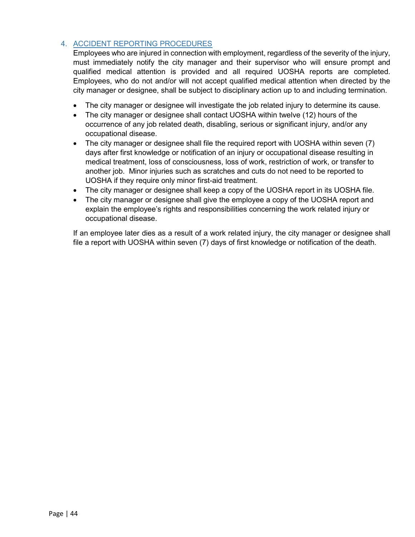# <span id="page-43-0"></span>4. ACCIDENT REPORTING PROCEDURES

Employees who are injured in connection with employment, regardless of the severity of the injury, must immediately notify the city manager and their supervisor who will ensure prompt and qualified medical attention is provided and all required UOSHA reports are completed. Employees, who do not and/or will not accept qualified medical attention when directed by the city manager or designee, shall be subject to disciplinary action up to and including termination.

- The city manager or designee will investigate the job related injury to determine its cause.
- The city manager or designee shall contact UOSHA within twelve (12) hours of the occurrence of any job related death, disabling, serious or significant injury, and/or any occupational disease.
- The city manager or designee shall file the required report with UOSHA within seven (7) days after first knowledge or notification of an injury or occupational disease resulting in medical treatment, loss of consciousness, loss of work, restriction of work, or transfer to another job. Minor injuries such as scratches and cuts do not need to be reported to UOSHA if they require only minor first-aid treatment.
- The city manager or designee shall keep a copy of the UOSHA report in its UOSHA file.
- The city manager or designee shall give the employee a copy of the UOSHA report and explain the employee's rights and responsibilities concerning the work related injury or occupational disease.

If an employee later dies as a result of a work related injury, the city manager or designee shall file a report with UOSHA within seven (7) days of first knowledge or notification of the death.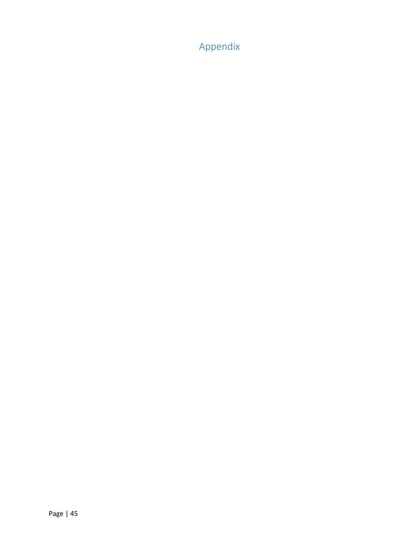<span id="page-44-0"></span>Appendix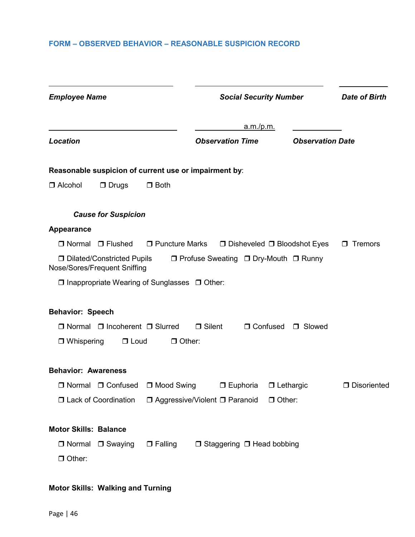# <span id="page-45-0"></span>**FORM – OBSERVED BEHAVIOR – REASONABLE SUSPICION RECORD**

| <b>Employee Name</b>                                                                                       | <b>Social Security Number</b>                                 |                         | <b>Date of Birth</b> |
|------------------------------------------------------------------------------------------------------------|---------------------------------------------------------------|-------------------------|----------------------|
|                                                                                                            | <u>a.m./p.m.</u>                                              |                         |                      |
| Location                                                                                                   | <b>Observation Time</b>                                       | <b>Observation Date</b> |                      |
| Reasonable suspicion of current use or impairment by:                                                      |                                                               |                         |                      |
| $\Box$ Alcohol<br>$\Box$ Drugs<br>$\Box$ Both                                                              |                                                               |                         |                      |
| <b>Cause for Suspicion</b>                                                                                 |                                                               |                         |                      |
| <b>Appearance</b>                                                                                          |                                                               |                         |                      |
| $\Box$ Normal $\Box$ Flushed                                                                               | $\Box$ Puncture Marks $\Box$ Disheveled $\Box$ Bloodshot Eyes |                         | $\Box$ Tremors       |
| □ Dilated/Constricted Pupils □ Profuse Sweating □ Dry-Mouth □ Runny<br><b>Nose/Sores/Frequent Sniffing</b> |                                                               |                         |                      |
| $\Box$ Inappropriate Wearing of Sunglasses $\Box$ Other:                                                   |                                                               |                         |                      |
| <b>Behavior: Speech</b>                                                                                    |                                                               |                         |                      |
| $\Box$ Normal $\Box$ Incoherent $\Box$ Slurred                                                             | $\Box$ Silent                                                 | □ Confused □ Slowed     |                      |
| $\Box$ Loud<br>$\Box$ Other:<br>$\Box$ Whispering                                                          |                                                               |                         |                      |
| <b>Behavior: Awareness</b>                                                                                 |                                                               |                         |                      |
| □ Normal □ Confused □ Mood Swing                                                                           | $\Box$ Euphoria                                               | $\Box$ Lethargic        | <b>D</b> Disoriented |
| □ Lack of Coordination                                                                                     | □ Aggressive/Violent □ Paranoid                               | $\Box$ Other:           |                      |
| <b>Motor Skills: Balance</b>                                                                               |                                                               |                         |                      |
| $\Box$ Normal<br>$\Box$ Falling<br>$\Box$ Swaying                                                          | $\Box$ Staggering $\Box$ Head bobbing                         |                         |                      |
| $\Box$ Other:                                                                                              |                                                               |                         |                      |
|                                                                                                            |                                                               |                         |                      |

# **Motor Skills: Walking and Turning**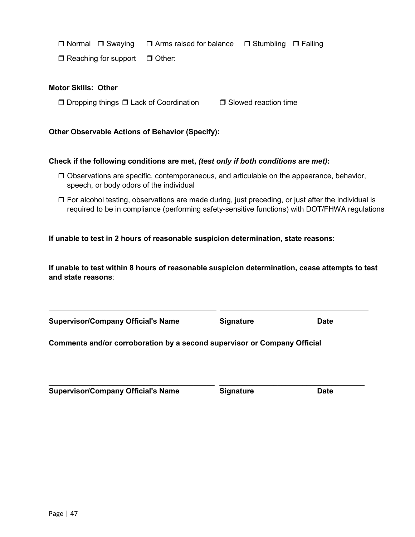$\overline{a}$ 

 $\Box$  Normal  $\Box$  Swaying  $\Box$  Arms raised for balance  $\Box$  Stumbling  $\Box$  Falling

 $\Box$  Reaching for support  $\Box$  Other:

#### **Motor Skills: Other**

 $\Box$  Dropping things  $\Box$  Lack of Coordination  $\Box$  Slowed reaction time

#### **Other Observable Actions of Behavior (Specify):**

#### **Check if the following conditions are met,** *(test only if both conditions are met)***:**

- $\Box$  Observations are specific, contemporaneous, and articulable on the appearance, behavior, speech, or body odors of the individual
- $\Box$  For alcohol testing, observations are made during, just preceding, or just after the individual is required to be in compliance (performing safety-sensitive functions) with DOT/FHWA regulations

**If unable to test in 2 hours of reasonable suspicion determination, state reasons**:

**If unable to test within 8 hours of reasonable suspicion determination, cease attempts to test and state reasons**:

**Supervisor/Company Official's Name Signature Date**

**Comments and/or corroboration by a second supervisor or Company Official**

**Supervisor/Company Official's Name Signature Date**

\_\_\_\_\_\_\_\_\_\_\_\_\_\_\_\_\_\_\_\_\_\_\_\_\_\_\_\_\_\_\_\_\_\_\_\_\_\_\_\_ \_\_\_\_\_\_\_\_\_\_\_\_\_\_\_\_\_\_\_\_\_\_\_\_\_\_\_\_\_\_\_\_\_\_\_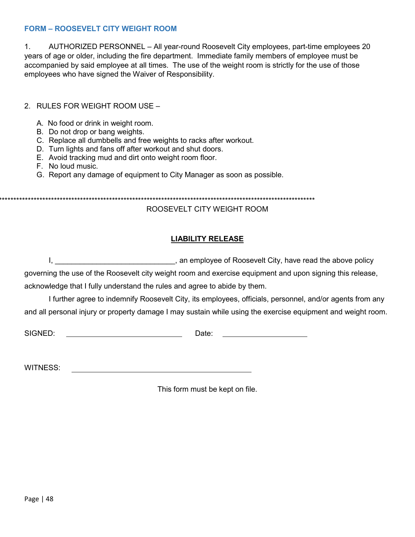#### <span id="page-47-0"></span>**FORM – ROOSEVELT CITY WEIGHT ROOM**

1. AUTHORIZED PERSONNEL – All year-round Roosevelt City employees, part-time employees 20 years of age or older, including the fire department. Immediate family members of employee must be accompanied by said employee at all times. The use of the weight room is strictly for the use of those employees who have signed the Waiver of Responsibility.

2. RULES FOR WEIGHT ROOM USE –

- A. No food or drink in weight room.
- B. Do not drop or bang weights.
- C. Replace all dumbbells and free weights to racks after workout.
- D. Turn lights and fans off after workout and shut doors.
- E. Avoid tracking mud and dirt onto weight room floor.
- F. No loud music.
- G. Report any damage of equipment to City Manager as soon as possible.

\*\*\*\*\*\*\*\*\*\*\*\*\*\*\*\*\*\*\*\*\*\*\*\*\*\*\*\*\*\*\*\*\*\*\*\*\*\*\*\*\*\*\*\*\*\*\*\*\*\*\*\*\*\*\*\*\*\*\*\*\*\*\*\*\*\*\*\*\*\*\*\*\*\*\*\*\*\*\*\*\*\*\*\*\*\*\*\*\*\*\*\*\*\*\*\*\*\*\*\*\*\*\*\*\*\*\*\*\*

# ROOSEVELT CITY WEIGHT ROOM

# **LIABILITY RELEASE**

|  | , an employee of Roosevelt City, have read the above policy |  |
|--|-------------------------------------------------------------|--|
|--|-------------------------------------------------------------|--|

governing the use of the Roosevelt city weight room and exercise equipment and upon signing this release, acknowledge that I fully understand the rules and agree to abide by them.

I further agree to indemnify Roosevelt City, its employees, officials, personnel, and/or agents from any and all personal injury or property damage I may sustain while using the exercise equipment and weight room.

SIGNED: Date:

WITNESS:

This form must be kept on file.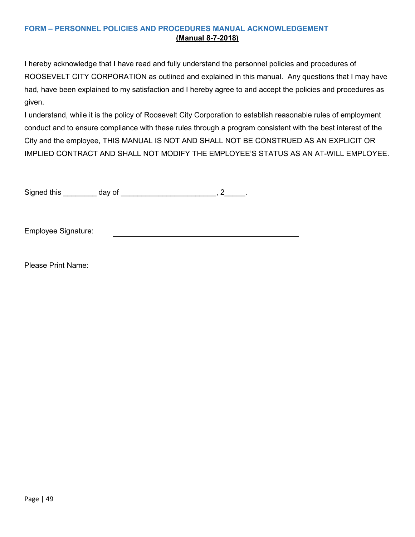# <span id="page-48-0"></span>**FORM – PERSONNEL POLICIES AND PROCEDURES MANUAL ACKNOWLEDGEMENT (Manual 8-7-2018)**

I hereby acknowledge that I have read and fully understand the personnel policies and procedures of ROOSEVELT CITY CORPORATION as outlined and explained in this manual. Any questions that I may have had, have been explained to my satisfaction and I hereby agree to and accept the policies and procedures as given.

I understand, while it is the policy of Roosevelt City Corporation to establish reasonable rules of employment conduct and to ensure compliance with these rules through a program consistent with the best interest of the City and the employee, THIS MANUAL IS NOT AND SHALL NOT BE CONSTRUED AS AN EXPLICIT OR IMPLIED CONTRACT AND SHALL NOT MODIFY THE EMPLOYEE'S STATUS AS AN AT-WILL EMPLOYEE.

| Signed this               | day of |  |
|---------------------------|--------|--|
|                           |        |  |
|                           |        |  |
|                           |        |  |
| Employee Signature:       |        |  |
|                           |        |  |
|                           |        |  |
| <b>Please Print Name:</b> |        |  |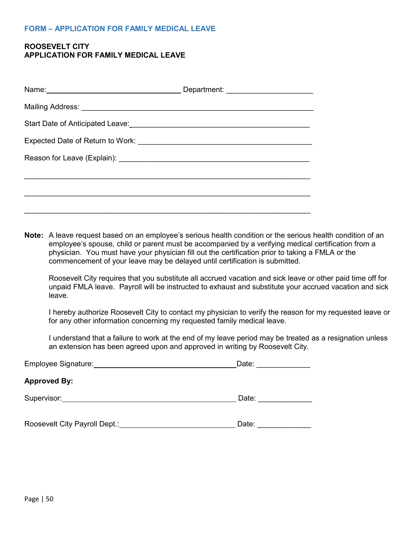#### <span id="page-49-0"></span>**FORM – APPLICATION FOR FAMILY MEDICAL LEAVE**

#### **ROOSEVELT CITY APPLICATION FOR FAMILY MEDICAL LEAVE**

| Start Date of Anticipated Leave:<br><u> Canadian Communication</u> Catalonic Catalonic Catalonic Catalonic Catalonic Catalonic Catalonic Catalonic Catalonic |  |  |
|--------------------------------------------------------------------------------------------------------------------------------------------------------------|--|--|
|                                                                                                                                                              |  |  |
|                                                                                                                                                              |  |  |
|                                                                                                                                                              |  |  |
|                                                                                                                                                              |  |  |
|                                                                                                                                                              |  |  |

**Note:** A leave request based on an employee's serious health condition or the serious health condition of an employee's spouse, child or parent must be accompanied by a verifying medical certification from a physician. You must have your physician fill out the certification prior to taking a FMLA or the commencement of your leave may be delayed until certification is submitted.

Roosevelt City requires that you substitute all accrued vacation and sick leave or other paid time off for unpaid FMLA leave. Payroll will be instructed to exhaust and substitute your accrued vacation and sick leave.

I hereby authorize Roosevelt City to contact my physician to verify the reason for my requested leave or for any other information concerning my requested family medical leave.

I understand that a failure to work at the end of my leave period may be treated as a resignation unless an extension has been agreed upon and approved in writing by Roosevelt City.

| Employee Signature:           | Date: |
|-------------------------------|-------|
| <b>Approved By:</b>           |       |
| Supervisor:                   | Date: |
| Roosevelt City Payroll Dept.: | Date: |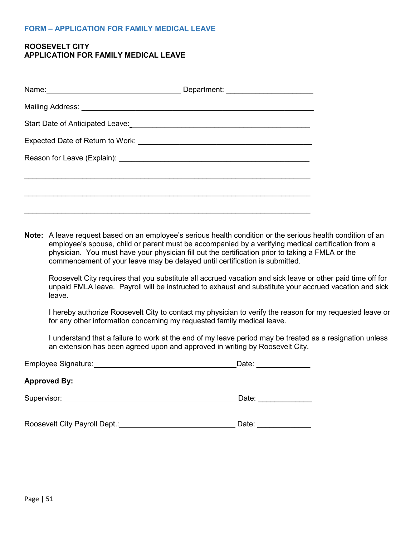#### <span id="page-50-0"></span>**FORM – APPLICATION FOR FAMILY MEDICAL LEAVE**

#### **ROOSEVELT CITY APPLICATION FOR FAMILY MEDICAL LEAVE**

**Note:** A leave request based on an employee's serious health condition or the serious health condition of an employee's spouse, child or parent must be accompanied by a verifying medical certification from a physician. You must have your physician fill out the certification prior to taking a FMLA or the commencement of your leave may be delayed until certification is submitted.

Roosevelt City requires that you substitute all accrued vacation and sick leave or other paid time off for unpaid FMLA leave. Payroll will be instructed to exhaust and substitute your accrued vacation and sick leave.

I hereby authorize Roosevelt City to contact my physician to verify the reason for my requested leave or for any other information concerning my requested family medical leave.

I understand that a failure to work at the end of my leave period may be treated as a resignation unless an extension has been agreed upon and approved in writing by Roosevelt City.

| Employee Signature:           | Date: |
|-------------------------------|-------|
| <b>Approved By:</b>           |       |
| Supervisor:                   | Date: |
| Roosevelt City Payroll Dept.: | Date: |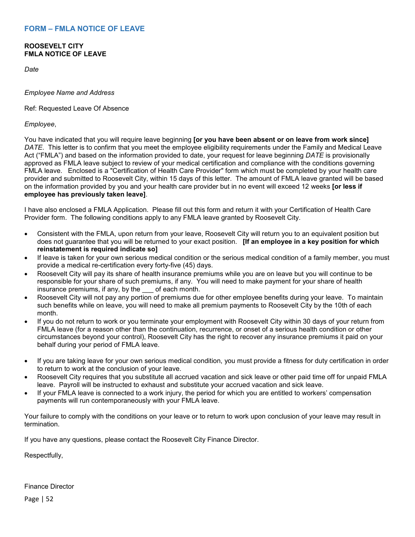#### <span id="page-51-0"></span>**ROOSEVELT CITY FMLA NOTICE OF LEAVE**

*Date*

*Employee Name and Address*

Ref: Requested Leave Of Absence

*Employee*,

You have indicated that you will require leave beginning **[or you have been absent or on leave from work since]**  *DATE*. This letter is to confirm that you meet the employee eligibility requirements under the Family and Medical Leave Act ("FMLA") and based on the information provided to date, your request for leave beginning *DATE* is provisionally approved as FMLA leave subject to review of your medical certification and compliance with the conditions governing FMLA leave. Enclosed is a "Certification of Health Care Provider" form which must be completed by your health care provider and submitted to Roosevelt City, within 15 days of this letter. The amount of FMLA leave granted will be based on the information provided by you and your health care provider but in no event will exceed 12 weeks **[or less if employee has previously taken leave]**.

I have also enclosed a FMLA Application. Please fill out this form and return it with your Certification of Health Care Provider form. The following conditions apply to any FMLA leave granted by Roosevelt City.

- Consistent with the FMLA, upon return from your leave, Roosevelt City will return you to an equivalent position but does not guarantee that you will be returned to your exact position. **[If an employee in a key position for which reinstatement is required indicate so]**
- If leave is taken for your own serious medical condition or the serious medical condition of a family member, you must provide a medical re-certification every forty-five (45) days.
- Roosevelt City will pay its share of health insurance premiums while you are on leave but you will continue to be responsible for your share of such premiums, if any. You will need to make payment for your share of health insurance premiums, if any, by the \_\_\_ of each month.
- Roosevelt City will not pay any portion of premiums due for other employee benefits during your leave. To maintain such benefits while on leave, you will need to make all premium payments to Roosevelt City by the 10th of each month.
- If you do not return to work or you terminate your employment with Roosevelt City within 30 days of your return from FMLA leave (for a reason other than the continuation, recurrence, or onset of a serious health condition or other circumstances beyond your control), Roosevelt City has the right to recover any insurance premiums it paid on your behalf during your period of FMLA leave.
- If you are taking leave for your own serious medical condition, you must provide a fitness for duty certification in order to return to work at the conclusion of your leave.
- Roosevelt City requires that you substitute all accrued vacation and sick leave or other paid time off for unpaid FMLA leave. Payroll will be instructed to exhaust and substitute your accrued vacation and sick leave.
- If your FMLA leave is connected to a work injury, the period for which you are entitled to workers' compensation payments will run contemporaneously with your FMLA leave.

Your failure to comply with the conditions on your leave or to return to work upon conclusion of your leave may result in termination.

If you have any questions, please contact the Roosevelt City Finance Director.

Respectfully,

Finance Director

Page | 52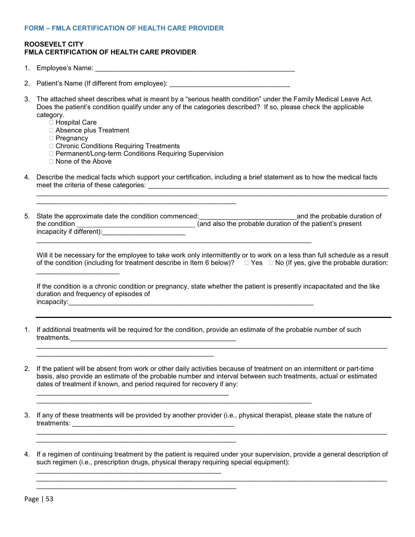#### <span id="page-52-0"></span>**FORM – FMLA CERTIFICATION OF HEALTH CARE PROVIDER**

\_\_\_\_\_\_\_\_\_\_\_\_\_\_\_\_\_\_\_\_\_\_\_\_\_\_\_\_\_\_\_\_\_\_\_\_\_\_\_\_\_\_\_\_\_\_\_\_\_

\_\_\_\_\_\_\_\_\_\_\_\_\_\_\_\_\_\_\_\_\_\_\_\_\_\_\_\_\_\_\_\_\_\_\_\_\_\_\_\_\_\_\_\_\_\_\_\_\_\_\_\_\_

#### **ROOSEVELT CITY FMLA CERTIFICATION OF HEALTH CARE PROVIDER**

|    | 1. Employee's Name:                                                                                                                                                                                                                                                                                                                                                                                                                     |
|----|-----------------------------------------------------------------------------------------------------------------------------------------------------------------------------------------------------------------------------------------------------------------------------------------------------------------------------------------------------------------------------------------------------------------------------------------|
| 2. |                                                                                                                                                                                                                                                                                                                                                                                                                                         |
| 3. | The attached sheet describes what is meant by a "serious health condition" under the Family Medical Leave Act.<br>Does the patient's condition qualify under any of the categories described? If so, please check the applicable<br>category.<br>□ Hospital Care<br>Absence plus Treatment<br>□ Pregnancy<br>□ Chronic Conditions Requiring Treatments<br>□ Permanent/Long-term Conditions Requiring Supervision<br>□ None of the Above |
| 4. | Describe the medical facts which support your certification, including a brief statement as to how the medical facts<br>the control of the control of the control of the control of the control of the control of the control of the control of the control of the control of the control of the control of the control of the control of the control                                                                                   |
| 5. | State the approximate date the condition commenced:<br><u>Letter Linescond the probable duration</u> of                                                                                                                                                                                                                                                                                                                                 |
|    | Will it be necessary for the employee to take work only intermittently or to work on a less than full schedule as a result<br>of the condition (including for treatment describe in Item 6 below)? $\Box$ Yes $\Box$ No (If yes, give the probable duration:                                                                                                                                                                            |
|    | If the condition is a chronic condition or pregnancy, state whether the patient is presently incapacitated and the like<br>duration and frequency of episodes of                                                                                                                                                                                                                                                                        |
| 1. | If additional treatments will be required for the condition, provide an estimate of the probable number of such<br><u> 1989 - Johann John Stoff, deutscher Stoffen und der Stoffen und der Stoffen und der Stoffen und der Stoffen u</u>                                                                                                                                                                                                |
|    | If the patient will be absent from work or other daily activities because of treatment on an intermittent or part-time<br>basis, also provide an estimate of the probable number and interval between such treatments, actual or estimated<br>dates of treatment if known, and period required for recovery if any:                                                                                                                     |
| 3. | If any of these treatments will be provided by another provider (i.e., physical therapist, please state the nature of<br>,我们也不能在这里的时候,我们也不能在这里的时候,我们也不能会在这里的时候,我们也不能会在这里的时候,我们也不能会在这里的时候,我们也不能会在这里的时候,我们也                                                                                                                                                                                                                               |
| 4. | If a regimen of continuing treatment by the patient is required under your supervision, provide a general description of<br>such regimen (i.e., prescription drugs, physical therapy requiring special equipment):                                                                                                                                                                                                                      |

\_\_\_\_\_\_\_\_\_\_\_\_\_\_\_\_\_\_\_\_\_\_\_\_\_\_\_\_\_\_\_\_\_\_\_\_\_\_\_\_\_\_\_\_\_\_\_\_\_\_\_\_\_\_\_\_\_\_\_\_\_\_\_\_\_\_\_\_\_\_\_\_\_\_\_\_\_\_\_\_\_\_\_\_\_\_\_\_\_\_\_\_\_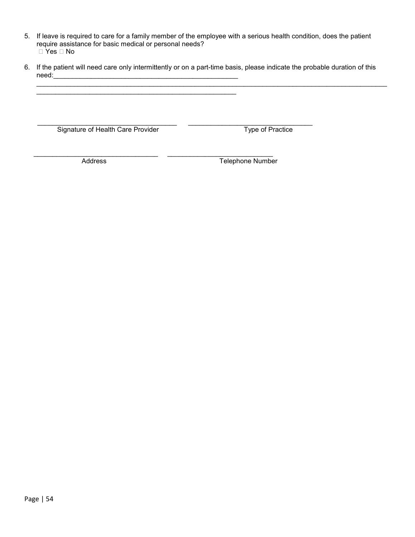- 5. If leave is required to care for a family member of the employee with a serious health condition, does the patient require assistance for basic medical or personal needs? Yes No
- 6. If the patient will need care only intermittently or on a part-time basis, please indicate the probable duration of this need:\_\_\_\_\_\_\_\_\_\_\_\_\_\_\_\_\_\_\_\_\_\_\_\_\_\_\_\_\_\_\_\_\_\_\_\_\_\_\_\_\_\_\_\_\_\_\_\_\_

\_\_\_\_\_\_\_\_\_\_\_\_\_\_\_\_\_\_\_\_\_\_\_\_\_\_\_\_\_\_\_\_\_\_\_\_\_\_\_\_\_\_\_\_\_\_\_\_\_\_\_\_\_\_\_\_\_\_\_\_\_\_\_\_\_\_\_\_\_\_\_\_\_\_\_\_\_\_\_\_\_\_\_\_\_\_\_\_\_\_\_\_\_

 \_\_\_\_\_\_\_\_\_\_\_\_\_\_\_\_\_\_\_\_\_\_\_\_\_\_\_\_\_\_\_\_\_\_\_\_\_ \_\_\_\_\_\_\_\_\_\_\_\_\_\_\_\_\_\_\_\_\_\_\_\_\_\_\_\_\_\_\_\_\_ Signature of Health Care Provider Type of Practice

\_\_\_\_\_\_\_\_\_\_\_\_\_\_\_\_\_\_\_\_\_\_\_\_\_\_\_\_\_\_\_\_\_\_\_\_\_\_\_\_\_\_\_\_\_\_\_\_\_\_\_\_\_

 \_\_\_\_\_\_\_\_\_\_\_\_\_\_\_\_\_\_\_\_\_\_\_\_\_\_\_\_\_\_\_\_\_ \_\_\_\_\_\_\_\_\_\_\_\_\_\_\_\_\_\_\_\_\_\_\_\_\_\_\_\_ Address Telephone Number